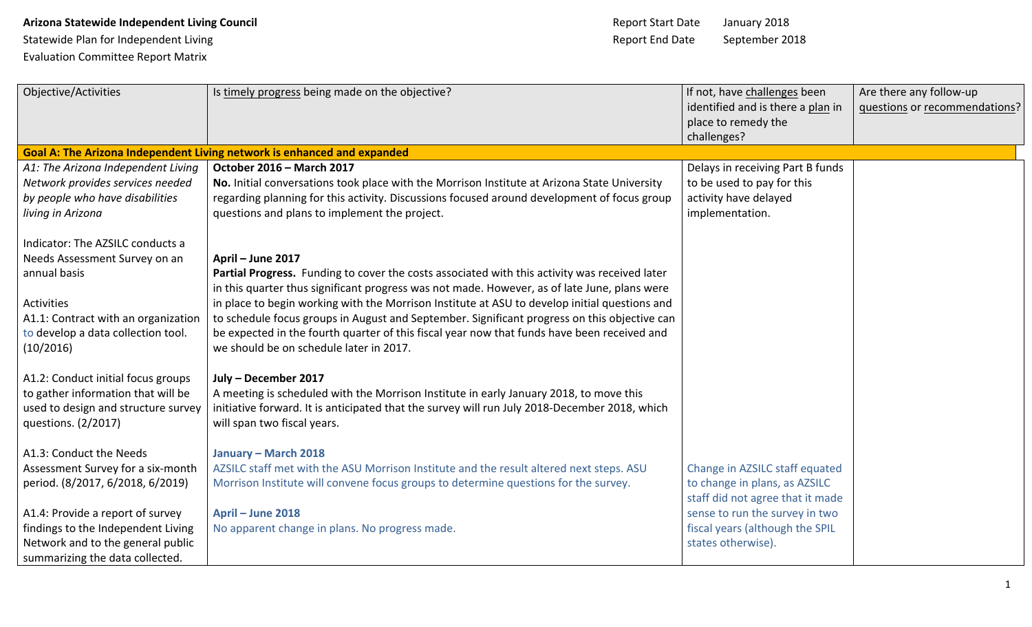## **Arizona Statewide Independent Living Council Arizona Statewide Independent Living Council** Arizona State January 2018

Evaluation Committee Report Matrix

| Objective/Activities                | Is timely progress being made on the objective?                                                                                                                                               | If not, have challenges been      | Are there any follow-up       |
|-------------------------------------|-----------------------------------------------------------------------------------------------------------------------------------------------------------------------------------------------|-----------------------------------|-------------------------------|
|                                     |                                                                                                                                                                                               | identified and is there a plan in | questions or recommendations? |
|                                     |                                                                                                                                                                                               | place to remedy the               |                               |
|                                     |                                                                                                                                                                                               | challenges?                       |                               |
|                                     | <b>Goal A: The Arizona Independent Living network is enhanced and expanded</b>                                                                                                                |                                   |                               |
| A1: The Arizona Independent Living  | October 2016 - March 2017                                                                                                                                                                     | Delays in receiving Part B funds  |                               |
| Network provides services needed    | No. Initial conversations took place with the Morrison Institute at Arizona State University                                                                                                  | to be used to pay for this        |                               |
| by people who have disabilities     | regarding planning for this activity. Discussions focused around development of focus group                                                                                                   | activity have delayed             |                               |
| living in Arizona                   | questions and plans to implement the project.                                                                                                                                                 | implementation.                   |                               |
| Indicator: The AZSILC conducts a    |                                                                                                                                                                                               |                                   |                               |
| Needs Assessment Survey on an       | April - June 2017                                                                                                                                                                             |                                   |                               |
| annual basis                        | Partial Progress. Funding to cover the costs associated with this activity was received later<br>in this quarter thus significant progress was not made. However, as of late June, plans were |                                   |                               |
| Activities                          | in place to begin working with the Morrison Institute at ASU to develop initial questions and                                                                                                 |                                   |                               |
| A1.1: Contract with an organization | to schedule focus groups in August and September. Significant progress on this objective can                                                                                                  |                                   |                               |
| to develop a data collection tool.  | be expected in the fourth quarter of this fiscal year now that funds have been received and                                                                                                   |                                   |                               |
| (10/2016)                           | we should be on schedule later in 2017.                                                                                                                                                       |                                   |                               |
| A1.2: Conduct initial focus groups  | July - December 2017                                                                                                                                                                          |                                   |                               |
| to gather information that will be  | A meeting is scheduled with the Morrison Institute in early January 2018, to move this                                                                                                        |                                   |                               |
| used to design and structure survey | initiative forward. It is anticipated that the survey will run July 2018-December 2018, which                                                                                                 |                                   |                               |
| questions. (2/2017)                 | will span two fiscal years.                                                                                                                                                                   |                                   |                               |
| A1.3: Conduct the Needs             | January - March 2018                                                                                                                                                                          |                                   |                               |
| Assessment Survey for a six-month   | AZSILC staff met with the ASU Morrison Institute and the result altered next steps. ASU                                                                                                       | Change in AZSILC staff equated    |                               |
| period. (8/2017, 6/2018, 6/2019)    | Morrison Institute will convene focus groups to determine questions for the survey.                                                                                                           | to change in plans, as AZSILC     |                               |
|                                     |                                                                                                                                                                                               | staff did not agree that it made  |                               |
| A1.4: Provide a report of survey    | April - June 2018                                                                                                                                                                             | sense to run the survey in two    |                               |
| findings to the Independent Living  | No apparent change in plans. No progress made.                                                                                                                                                | fiscal years (although the SPIL   |                               |
| Network and to the general public   |                                                                                                                                                                                               | states otherwise).                |                               |
| summarizing the data collected.     |                                                                                                                                                                                               |                                   |                               |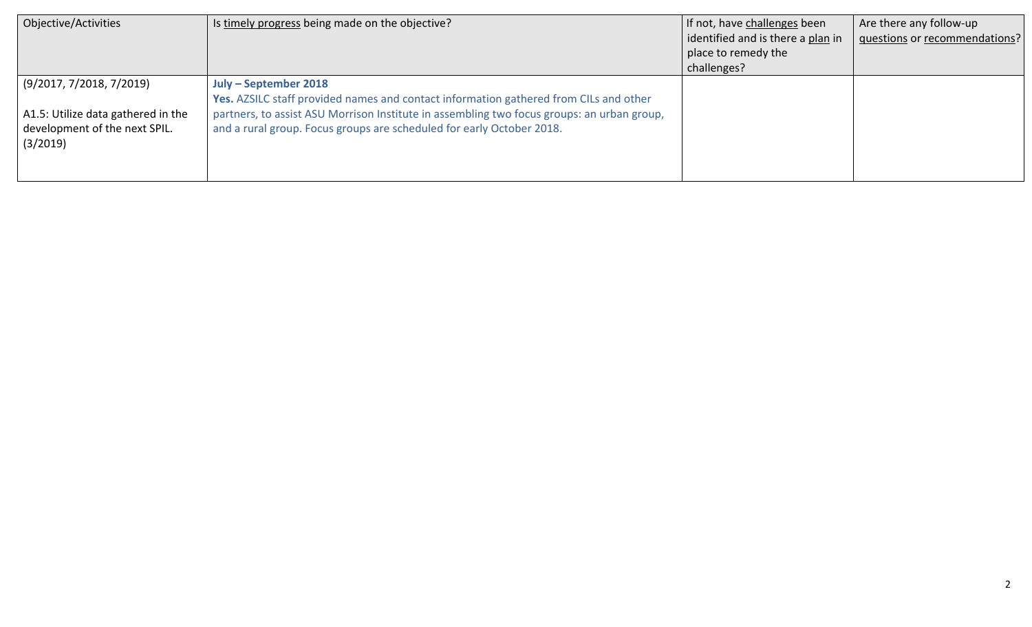| Objective/Activities                                                                                        | Is timely progress being made on the objective?                                                                                                                                                                                                                                       | If not, have challenges been<br>identified and is there a plan in<br>place to remedy the | Are there any follow-up<br>questions or recommendations? |
|-------------------------------------------------------------------------------------------------------------|---------------------------------------------------------------------------------------------------------------------------------------------------------------------------------------------------------------------------------------------------------------------------------------|------------------------------------------------------------------------------------------|----------------------------------------------------------|
|                                                                                                             |                                                                                                                                                                                                                                                                                       | challenges?                                                                              |                                                          |
| (9/2017, 7/2018, 7/2019)<br>A1.5: Utilize data gathered in the<br>development of the next SPIL.<br>(3/2019) | July – September 2018<br>Yes. AZSILC staff provided names and contact information gathered from CILs and other<br>partners, to assist ASU Morrison Institute in assembling two focus groups: an urban group,<br>and a rural group. Focus groups are scheduled for early October 2018. |                                                                                          |                                                          |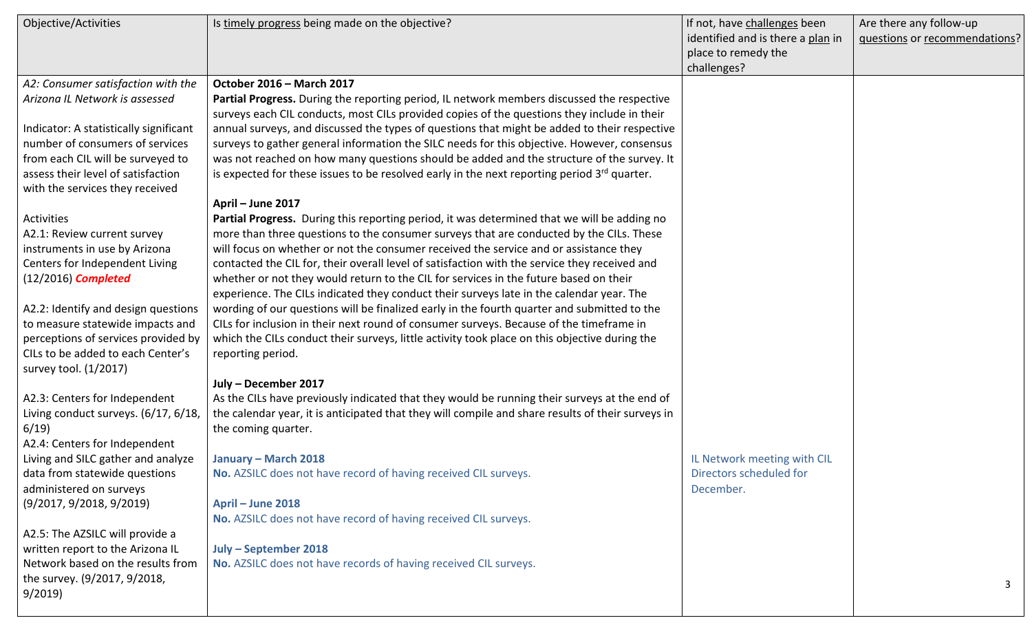| Objective/Activities                   | Is timely progress being made on the objective?                                                         | If not, have challenges been      | Are there any follow-up       |
|----------------------------------------|---------------------------------------------------------------------------------------------------------|-----------------------------------|-------------------------------|
|                                        |                                                                                                         | identified and is there a plan in | questions or recommendations? |
|                                        |                                                                                                         | place to remedy the               |                               |
|                                        |                                                                                                         | challenges?                       |                               |
| A2: Consumer satisfaction with the     | October 2016 - March 2017                                                                               |                                   |                               |
| Arizona IL Network is assessed         | Partial Progress. During the reporting period, IL network members discussed the respective              |                                   |                               |
|                                        | surveys each CIL conducts, most CILs provided copies of the questions they include in their             |                                   |                               |
| Indicator: A statistically significant | annual surveys, and discussed the types of questions that might be added to their respective            |                                   |                               |
| number of consumers of services        | surveys to gather general information the SILC needs for this objective. However, consensus             |                                   |                               |
| from each CIL will be surveyed to      | was not reached on how many questions should be added and the structure of the survey. It               |                                   |                               |
| assess their level of satisfaction     | is expected for these issues to be resolved early in the next reporting period 3 <sup>rd</sup> quarter. |                                   |                               |
| with the services they received        |                                                                                                         |                                   |                               |
|                                        | April - June 2017                                                                                       |                                   |                               |
| <b>Activities</b>                      | Partial Progress. During this reporting period, it was determined that we will be adding no             |                                   |                               |
| A2.1: Review current survey            | more than three questions to the consumer surveys that are conducted by the CILs. These                 |                                   |                               |
| instruments in use by Arizona          | will focus on whether or not the consumer received the service and or assistance they                   |                                   |                               |
| Centers for Independent Living         | contacted the CIL for, their overall level of satisfaction with the service they received and           |                                   |                               |
| $(12/2016)$ Completed                  | whether or not they would return to the CIL for services in the future based on their                   |                                   |                               |
|                                        | experience. The CILs indicated they conduct their surveys late in the calendar year. The                |                                   |                               |
| A2.2: Identify and design questions    | wording of our questions will be finalized early in the fourth quarter and submitted to the             |                                   |                               |
| to measure statewide impacts and       | CILs for inclusion in their next round of consumer surveys. Because of the timeframe in                 |                                   |                               |
| perceptions of services provided by    | which the CILs conduct their surveys, little activity took place on this objective during the           |                                   |                               |
| CILs to be added to each Center's      | reporting period.                                                                                       |                                   |                               |
| survey tool. (1/2017)                  |                                                                                                         |                                   |                               |
|                                        | July - December 2017                                                                                    |                                   |                               |
| A2.3: Centers for Independent          | As the CILs have previously indicated that they would be running their surveys at the end of            |                                   |                               |
| Living conduct surveys. (6/17, 6/18,   | the calendar year, it is anticipated that they will compile and share results of their surveys in       |                                   |                               |
| 6/19                                   | the coming quarter.                                                                                     |                                   |                               |
| A2.4: Centers for Independent          |                                                                                                         |                                   |                               |
| Living and SILC gather and analyze     | January - March 2018                                                                                    | IL Network meeting with CIL       |                               |
| data from statewide questions          | No. AZSILC does not have record of having received CIL surveys.                                         | Directors scheduled for           |                               |
| administered on surveys                |                                                                                                         | December.                         |                               |
| (9/2017, 9/2018, 9/2019)               | April - June 2018                                                                                       |                                   |                               |
|                                        | No. AZSILC does not have record of having received CIL surveys.                                         |                                   |                               |
| A2.5: The AZSILC will provide a        |                                                                                                         |                                   |                               |
| written report to the Arizona IL       | July - September 2018                                                                                   |                                   |                               |
| Network based on the results from      | No. AZSILC does not have records of having received CIL surveys.                                        |                                   |                               |
| the survey. (9/2017, 9/2018,           |                                                                                                         |                                   |                               |
| 9/2019                                 |                                                                                                         |                                   | 3                             |
|                                        |                                                                                                         |                                   |                               |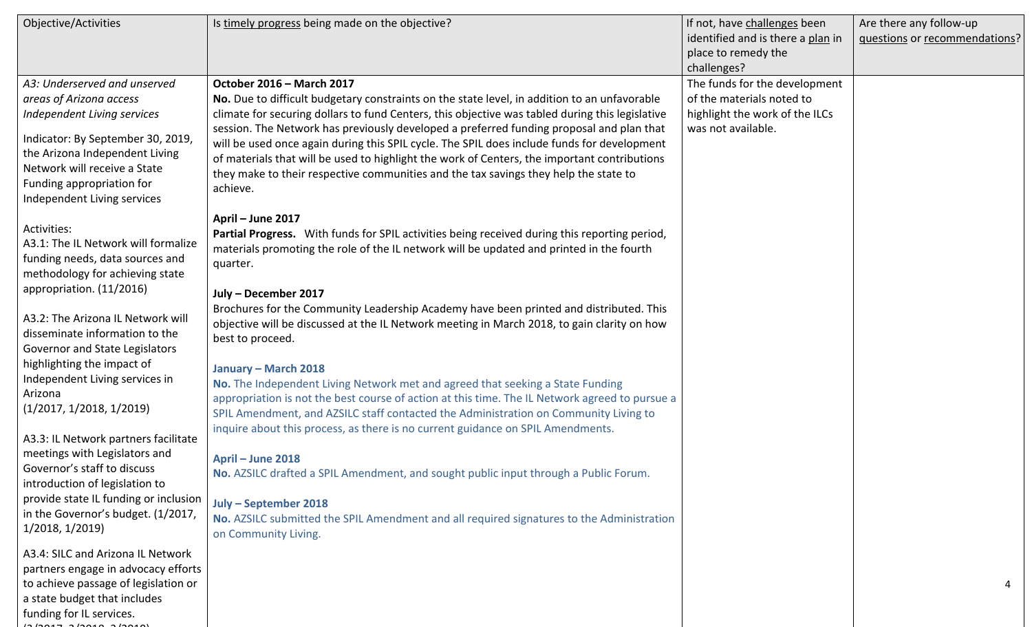| Objective/Activities                                                                                                                                                                                                                                                                                                          | Is timely progress being made on the objective?                                                                                                                                                                                                                                                                                                                                                                                                                                                                                                                                                                                                  | If not, have challenges been<br>identified and is there a plan in<br>place to remedy the                                          | Are there any follow-up<br>questions or recommendations? |
|-------------------------------------------------------------------------------------------------------------------------------------------------------------------------------------------------------------------------------------------------------------------------------------------------------------------------------|--------------------------------------------------------------------------------------------------------------------------------------------------------------------------------------------------------------------------------------------------------------------------------------------------------------------------------------------------------------------------------------------------------------------------------------------------------------------------------------------------------------------------------------------------------------------------------------------------------------------------------------------------|-----------------------------------------------------------------------------------------------------------------------------------|----------------------------------------------------------|
| A3: Underserved and unserved<br>areas of Arizona access<br>Independent Living services<br>Indicator: By September 30, 2019,<br>the Arizona Independent Living<br>Network will receive a State<br>Funding appropriation for<br>Independent Living services                                                                     | October 2016 - March 2017<br>No. Due to difficult budgetary constraints on the state level, in addition to an unfavorable<br>climate for securing dollars to fund Centers, this objective was tabled during this legislative<br>session. The Network has previously developed a preferred funding proposal and plan that<br>will be used once again during this SPIL cycle. The SPIL does include funds for development<br>of materials that will be used to highlight the work of Centers, the important contributions<br>they make to their respective communities and the tax savings they help the state to<br>achieve.<br>April - June 2017 | challenges?<br>The funds for the development<br>of the materials noted to<br>highlight the work of the ILCs<br>was not available. |                                                          |
| Activities:<br>A3.1: The IL Network will formalize<br>funding needs, data sources and<br>methodology for achieving state<br>appropriation. (11/2016)<br>A3.2: The Arizona IL Network will<br>disseminate information to the<br>Governor and State Legislators<br>highlighting the impact of<br>Independent Living services in | Partial Progress. With funds for SPIL activities being received during this reporting period,<br>materials promoting the role of the IL network will be updated and printed in the fourth<br>quarter.<br>July - December 2017<br>Brochures for the Community Leadership Academy have been printed and distributed. This<br>objective will be discussed at the IL Network meeting in March 2018, to gain clarity on how<br>best to proceed.<br>January - March 2018                                                                                                                                                                               |                                                                                                                                   |                                                          |
| Arizona<br>(1/2017, 1/2018, 1/2019)<br>A3.3: IL Network partners facilitate<br>meetings with Legislators and<br>Governor's staff to discuss<br>introduction of legislation to<br>provide state IL funding or inclusion<br>in the Governor's budget. (1/2017,<br>1/2018, 1/2019)                                               | No. The Independent Living Network met and agreed that seeking a State Funding<br>appropriation is not the best course of action at this time. The IL Network agreed to pursue a<br>SPIL Amendment, and AZSILC staff contacted the Administration on Community Living to<br>inquire about this process, as there is no current guidance on SPIL Amendments.<br>April - June 2018<br>No. AZSILC drafted a SPIL Amendment, and sought public input through a Public Forum.<br>July - September 2018<br>No. AZSILC submitted the SPIL Amendment and all required signatures to the Administration<br>on Community Living.                           |                                                                                                                                   |                                                          |
| A3.4: SILC and Arizona IL Network<br>partners engage in advocacy efforts<br>to achieve passage of legislation or<br>a state budget that includes<br>funding for IL services.                                                                                                                                                  |                                                                                                                                                                                                                                                                                                                                                                                                                                                                                                                                                                                                                                                  |                                                                                                                                   |                                                          |

 $(201222)$  3/2018, 3/2019)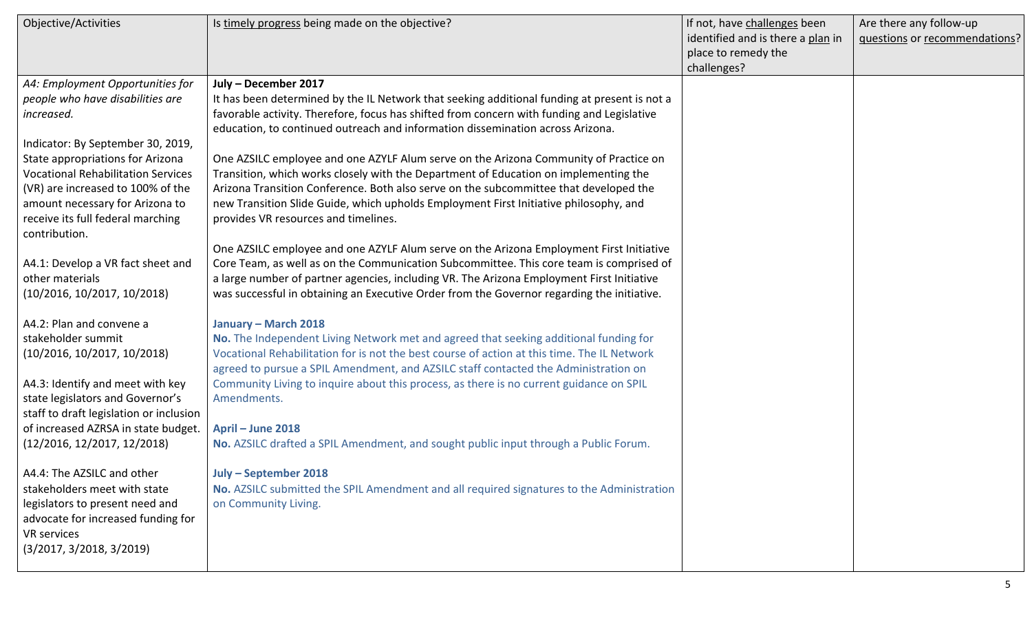| Objective/Activities                                                                                                                                                                                                                                                                                                  | Is timely progress being made on the objective?                                                                                                                                                                                                                                                                                                                                                                                                                                                                                                                                                                                                                                                                | If not, have challenges been<br>identified and is there a plan in<br>place to remedy the<br>challenges? | Are there any follow-up<br>questions or recommendations? |
|-----------------------------------------------------------------------------------------------------------------------------------------------------------------------------------------------------------------------------------------------------------------------------------------------------------------------|----------------------------------------------------------------------------------------------------------------------------------------------------------------------------------------------------------------------------------------------------------------------------------------------------------------------------------------------------------------------------------------------------------------------------------------------------------------------------------------------------------------------------------------------------------------------------------------------------------------------------------------------------------------------------------------------------------------|---------------------------------------------------------------------------------------------------------|----------------------------------------------------------|
| A4: Employment Opportunities for<br>people who have disabilities are<br>increased.<br>Indicator: By September 30, 2019,<br>State appropriations for Arizona<br><b>Vocational Rehabilitation Services</b><br>(VR) are increased to 100% of the<br>amount necessary for Arizona to<br>receive its full federal marching | July - December 2017<br>It has been determined by the IL Network that seeking additional funding at present is not a<br>favorable activity. Therefore, focus has shifted from concern with funding and Legislative<br>education, to continued outreach and information dissemination across Arizona.<br>One AZSILC employee and one AZYLF Alum serve on the Arizona Community of Practice on<br>Transition, which works closely with the Department of Education on implementing the<br>Arizona Transition Conference. Both also serve on the subcommittee that developed the<br>new Transition Slide Guide, which upholds Employment First Initiative philosophy, and<br>provides VR resources and timelines. |                                                                                                         |                                                          |
| contribution.<br>A4.1: Develop a VR fact sheet and<br>other materials<br>(10/2016, 10/2017, 10/2018)                                                                                                                                                                                                                  | One AZSILC employee and one AZYLF Alum serve on the Arizona Employment First Initiative<br>Core Team, as well as on the Communication Subcommittee. This core team is comprised of<br>a large number of partner agencies, including VR. The Arizona Employment First Initiative<br>was successful in obtaining an Executive Order from the Governor regarding the initiative.                                                                                                                                                                                                                                                                                                                                  |                                                                                                         |                                                          |
| A4.2: Plan and convene a<br>stakeholder summit<br>(10/2016, 10/2017, 10/2018)<br>A4.3: Identify and meet with key<br>state legislators and Governor's<br>staff to draft legislation or inclusion<br>of increased AZRSA in state budget.<br>(12/2016, 12/2017, 12/2018)                                                | January - March 2018<br>No. The Independent Living Network met and agreed that seeking additional funding for<br>Vocational Rehabilitation for is not the best course of action at this time. The IL Network<br>agreed to pursue a SPIL Amendment, and AZSILC staff contacted the Administration on<br>Community Living to inquire about this process, as there is no current guidance on SPIL<br>Amendments.<br>April - June 2018<br>No. AZSILC drafted a SPIL Amendment, and sought public input through a Public Forum.                                                                                                                                                                                     |                                                                                                         |                                                          |
| A4.4: The AZSILC and other<br>stakeholders meet with state<br>legislators to present need and<br>advocate for increased funding for<br>VR services<br>(3/2017, 3/2018, 3/2019)                                                                                                                                        | July - September 2018<br>No. AZSILC submitted the SPIL Amendment and all required signatures to the Administration<br>on Community Living.                                                                                                                                                                                                                                                                                                                                                                                                                                                                                                                                                                     |                                                                                                         |                                                          |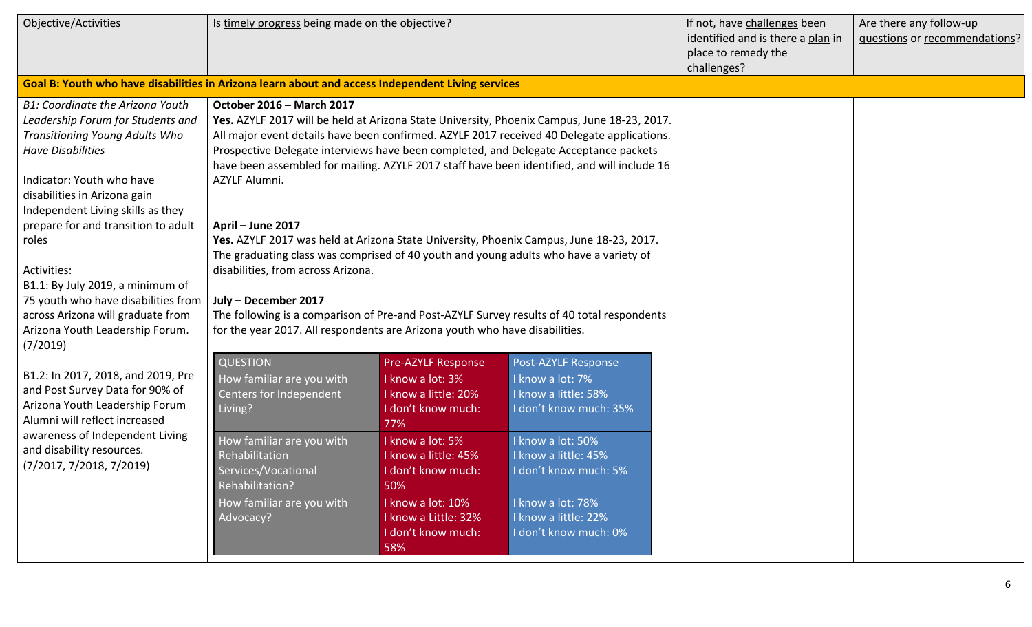| Objective/Activities                                                                                                                                                                                                                                                                       | Is timely progress being made on the objective?                                                                                           |                                                                                             |                                                                                                                                                                                                                                                                                                                                                                                  | If not, have challenges been<br>identified and is there a plan in<br>place to remedy the<br>challenges? | Are there any follow-up<br>questions or recommendations? |
|--------------------------------------------------------------------------------------------------------------------------------------------------------------------------------------------------------------------------------------------------------------------------------------------|-------------------------------------------------------------------------------------------------------------------------------------------|---------------------------------------------------------------------------------------------|----------------------------------------------------------------------------------------------------------------------------------------------------------------------------------------------------------------------------------------------------------------------------------------------------------------------------------------------------------------------------------|---------------------------------------------------------------------------------------------------------|----------------------------------------------------------|
| Goal B: Youth who have disabilities in Arizona learn about and access Independent Living services                                                                                                                                                                                          |                                                                                                                                           |                                                                                             |                                                                                                                                                                                                                                                                                                                                                                                  |                                                                                                         |                                                          |
| <b>B1: Coordinate the Arizona Youth</b><br>Leadership Forum for Students and<br><b>Transitioning Young Adults Who</b><br><b>Have Disabilities</b><br>Indicator: Youth who have<br>disabilities in Arizona gain<br>Independent Living skills as they<br>prepare for and transition to adult | October 2016 - March 2017<br>AZYLF Alumni.<br>April - June 2017                                                                           |                                                                                             | Yes. AZYLF 2017 will be held at Arizona State University, Phoenix Campus, June 18-23, 2017.<br>All major event details have been confirmed. AZYLF 2017 received 40 Delegate applications.<br>Prospective Delegate interviews have been completed, and Delegate Acceptance packets<br>have been assembled for mailing. AZYLF 2017 staff have been identified, and will include 16 |                                                                                                         |                                                          |
| roles<br>Activities:<br>B1.1: By July 2019, a minimum of<br>75 youth who have disabilities from<br>across Arizona will graduate from<br>Arizona Youth Leadership Forum.<br>(7/2019)                                                                                                        | disabilities, from across Arizona.<br>July - December 2017<br>for the year 2017. All respondents are Arizona youth who have disabilities. |                                                                                             | Yes. AZYLF 2017 was held at Arizona State University, Phoenix Campus, June 18-23, 2017.<br>The graduating class was comprised of 40 youth and young adults who have a variety of<br>The following is a comparison of Pre-and Post-AZYLF Survey results of 40 total respondents                                                                                                   |                                                                                                         |                                                          |
| B1.2: In 2017, 2018, and 2019, Pre<br>and Post Survey Data for 90% of<br>Arizona Youth Leadership Forum<br>Alumni will reflect increased<br>awareness of Independent Living<br>and disability resources.<br>(7/2017, 7/2018, 7/2019)                                                       | <b>QUESTION</b><br>How familiar are you with<br>Centers for Independent<br>Living?                                                        | Pre-AZYLF Response<br>I know a lot: 3%<br>I know a little: 20%<br>I don't know much:<br>77% | Post-AZYLF Response<br>know a lot: 7%<br>know a little: 58%<br>I don't know much: 35%                                                                                                                                                                                                                                                                                            |                                                                                                         |                                                          |
|                                                                                                                                                                                                                                                                                            | How familiar are you with<br>Rehabilitation<br>Services/Vocational<br>Rehabilitation?<br>How familiar are you with                        | I know a lot: 5%<br>I know a little: 45%<br>I don't know much:<br>50%<br>I know a lot: 10%  | know a lot: 50%<br>know a little: 45%<br>I don't know much: 5%<br>know a lot: 78%                                                                                                                                                                                                                                                                                                |                                                                                                         |                                                          |
|                                                                                                                                                                                                                                                                                            | Advocacy?                                                                                                                                 | I know a Little: 32%<br>I don't know much:<br>58%                                           | I know a little: 22%<br>I don't know much: 0%                                                                                                                                                                                                                                                                                                                                    |                                                                                                         |                                                          |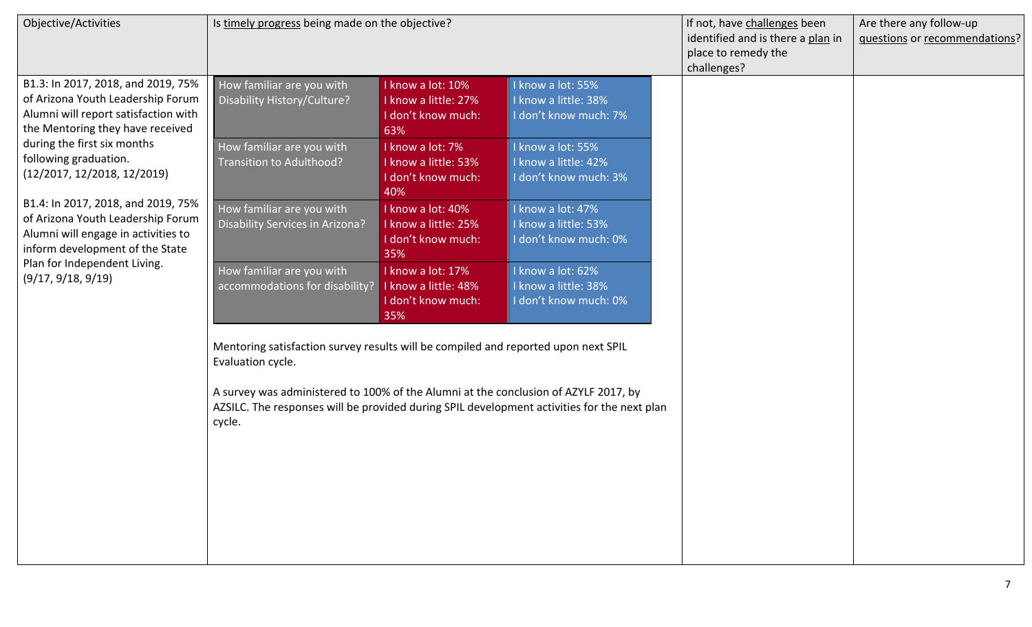| Objective/Activities                                                                                                                                                                                                                                                                                                                                                                                                                                  | Is timely progress being made on the objective?                                                                                                                                                          |                                                                        |                                                                                             | If not, have challenges been<br>identified and is there a plan in<br>place to remedy the<br>challenges? | Are there any follow-up<br>questions or recommendations? |
|-------------------------------------------------------------------------------------------------------------------------------------------------------------------------------------------------------------------------------------------------------------------------------------------------------------------------------------------------------------------------------------------------------------------------------------------------------|----------------------------------------------------------------------------------------------------------------------------------------------------------------------------------------------------------|------------------------------------------------------------------------|---------------------------------------------------------------------------------------------|---------------------------------------------------------------------------------------------------------|----------------------------------------------------------|
| B1.3: In 2017, 2018, and 2019, 75%<br>of Arizona Youth Leadership Forum<br>Alumni will report satisfaction with<br>the Mentoring they have received<br>during the first six months<br>following graduation.<br>(12/2017, 12/2018, 12/2019)<br>B1.4: In 2017, 2018, and 2019, 75%<br>of Arizona Youth Leadership Forum<br>Alumni will engage in activities to<br>inform development of the State<br>Plan for Independent Living.<br>(9/17, 9/18, 9/19) | How familiar are you with<br>Disability History/Culture?                                                                                                                                                 | I know a lot: 10%<br>I know a little: 27%<br>I don't know much:<br>63% | I know a lot: 55%<br>I know a little: 38%<br>I don't know much: 7%                          |                                                                                                         |                                                          |
|                                                                                                                                                                                                                                                                                                                                                                                                                                                       | How familiar are you with<br>Transition to Adulthood?                                                                                                                                                    | I know a lot: 7%<br>I know a little: 53%<br>I don't know much:<br>40%  | I know a lot: 55%<br>I know a little: 42%<br>I don't know much: 3%                          |                                                                                                         |                                                          |
|                                                                                                                                                                                                                                                                                                                                                                                                                                                       | How familiar are you with<br>Disability Services in Arizona?                                                                                                                                             | I know a lot: 40%<br>I know a little: 25%<br>I don't know much:<br>35% | I know a lot: 47%<br>I know a little: 53%<br>I don't know much: 0%                          |                                                                                                         |                                                          |
|                                                                                                                                                                                                                                                                                                                                                                                                                                                       | How familiar are you with<br>accommodations for disability?                                                                                                                                              | I know a lot: 17%<br>I know a little: 48%<br>I don't know much:<br>35% | I know a lot: 62%<br>I know a little: 38%<br>I don't know much: 0%                          |                                                                                                         |                                                          |
|                                                                                                                                                                                                                                                                                                                                                                                                                                                       | Mentoring satisfaction survey results will be compiled and reported upon next SPIL<br>Evaluation cycle.<br>A survey was administered to 100% of the Alumni at the conclusion of AZYLF 2017, by<br>cycle. |                                                                        | AZSILC. The responses will be provided during SPIL development activities for the next plan |                                                                                                         |                                                          |
|                                                                                                                                                                                                                                                                                                                                                                                                                                                       |                                                                                                                                                                                                          |                                                                        |                                                                                             |                                                                                                         |                                                          |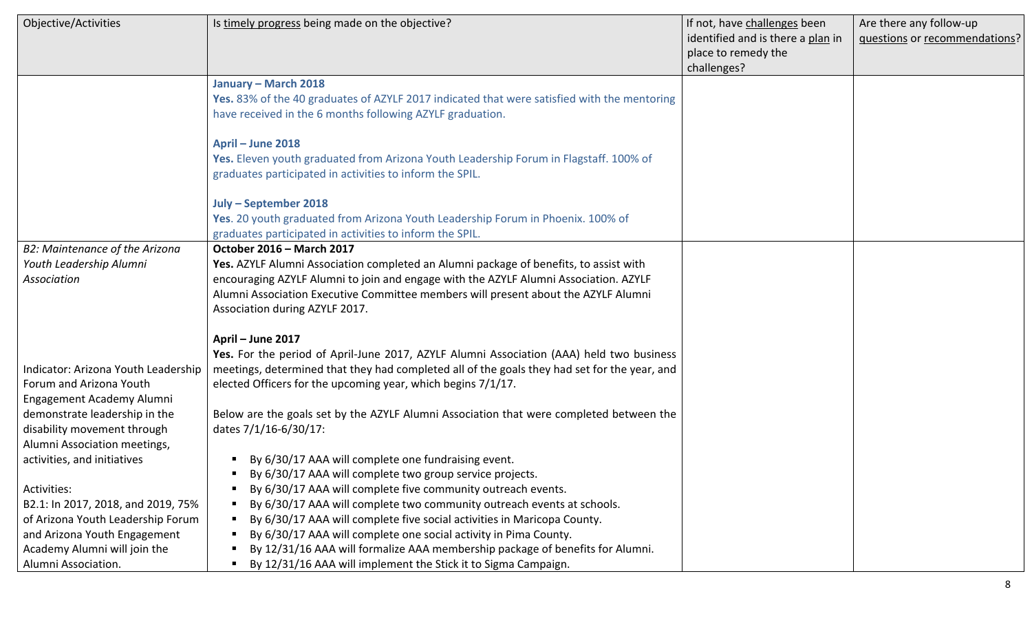| Objective/Activities                | Is timely progress being made on the objective?                                              | If not, have challenges been      | Are there any follow-up       |
|-------------------------------------|----------------------------------------------------------------------------------------------|-----------------------------------|-------------------------------|
|                                     |                                                                                              | identified and is there a plan in | questions or recommendations? |
|                                     |                                                                                              | place to remedy the               |                               |
|                                     |                                                                                              | challenges?                       |                               |
|                                     | January - March 2018                                                                         |                                   |                               |
|                                     | Yes. 83% of the 40 graduates of AZYLF 2017 indicated that were satisfied with the mentoring  |                                   |                               |
|                                     | have received in the 6 months following AZYLF graduation.                                    |                                   |                               |
|                                     | April - June 2018                                                                            |                                   |                               |
|                                     | Yes. Eleven youth graduated from Arizona Youth Leadership Forum in Flagstaff. 100% of        |                                   |                               |
|                                     | graduates participated in activities to inform the SPIL.                                     |                                   |                               |
|                                     |                                                                                              |                                   |                               |
|                                     | July - September 2018                                                                        |                                   |                               |
|                                     | Yes. 20 youth graduated from Arizona Youth Leadership Forum in Phoenix. 100% of              |                                   |                               |
|                                     | graduates participated in activities to inform the SPIL.                                     |                                   |                               |
| B2: Maintenance of the Arizona      | October 2016 - March 2017                                                                    |                                   |                               |
| Youth Leadership Alumni             | Yes. AZYLF Alumni Association completed an Alumni package of benefits, to assist with        |                                   |                               |
| Association                         | encouraging AZYLF Alumni to join and engage with the AZYLF Alumni Association. AZYLF         |                                   |                               |
|                                     | Alumni Association Executive Committee members will present about the AZYLF Alumni           |                                   |                               |
|                                     | Association during AZYLF 2017.                                                               |                                   |                               |
|                                     | April - June 2017                                                                            |                                   |                               |
|                                     | Yes. For the period of April-June 2017, AZYLF Alumni Association (AAA) held two business     |                                   |                               |
| Indicator: Arizona Youth Leadership | meetings, determined that they had completed all of the goals they had set for the year, and |                                   |                               |
| Forum and Arizona Youth             | elected Officers for the upcoming year, which begins 7/1/17.                                 |                                   |                               |
| Engagement Academy Alumni           |                                                                                              |                                   |                               |
| demonstrate leadership in the       | Below are the goals set by the AZYLF Alumni Association that were completed between the      |                                   |                               |
| disability movement through         | dates 7/1/16-6/30/17:                                                                        |                                   |                               |
| Alumni Association meetings,        |                                                                                              |                                   |                               |
| activities, and initiatives         | By 6/30/17 AAA will complete one fundraising event.                                          |                                   |                               |
|                                     | By 6/30/17 AAA will complete two group service projects.                                     |                                   |                               |
| Activities:                         | By 6/30/17 AAA will complete five community outreach events.                                 |                                   |                               |
| B2.1: In 2017, 2018, and 2019, 75%  | By 6/30/17 AAA will complete two community outreach events at schools.                       |                                   |                               |
| of Arizona Youth Leadership Forum   | By 6/30/17 AAA will complete five social activities in Maricopa County.                      |                                   |                               |
| and Arizona Youth Engagement        | By 6/30/17 AAA will complete one social activity in Pima County.                             |                                   |                               |
| Academy Alumni will join the        | By 12/31/16 AAA will formalize AAA membership package of benefits for Alumni.                |                                   |                               |
| Alumni Association.                 | By 12/31/16 AAA will implement the Stick it to Sigma Campaign.                               |                                   |                               |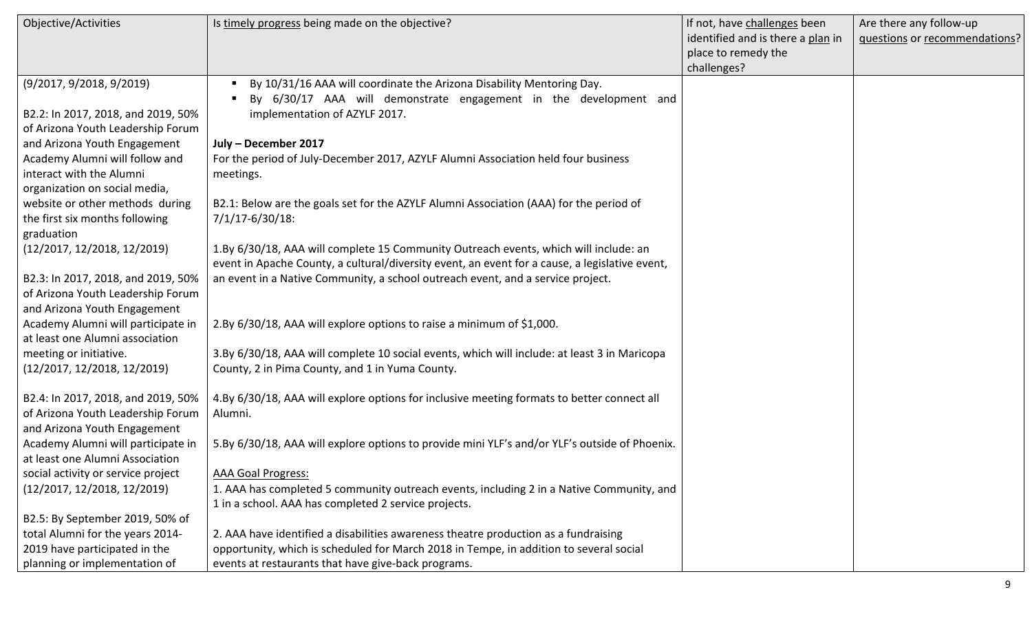| Objective/Activities               | Is timely progress being made on the objective?                                                | If not, have challenges been      | Are there any follow-up       |
|------------------------------------|------------------------------------------------------------------------------------------------|-----------------------------------|-------------------------------|
|                                    |                                                                                                | identified and is there a plan in | questions or recommendations? |
|                                    |                                                                                                | place to remedy the               |                               |
|                                    |                                                                                                | challenges?                       |                               |
| (9/2017, 9/2018, 9/2019)           | By 10/31/16 AAA will coordinate the Arizona Disability Mentoring Day.                          |                                   |                               |
|                                    | By 6/30/17 AAA will demonstrate engagement in the development and                              |                                   |                               |
| B2.2: In 2017, 2018, and 2019, 50% | implementation of AZYLF 2017.                                                                  |                                   |                               |
| of Arizona Youth Leadership Forum  |                                                                                                |                                   |                               |
| and Arizona Youth Engagement       | July - December 2017                                                                           |                                   |                               |
| Academy Alumni will follow and     | For the period of July-December 2017, AZYLF Alumni Association held four business              |                                   |                               |
| interact with the Alumni           | meetings.                                                                                      |                                   |                               |
| organization on social media,      |                                                                                                |                                   |                               |
| website or other methods during    | B2.1: Below are the goals set for the AZYLF Alumni Association (AAA) for the period of         |                                   |                               |
| the first six months following     | 7/1/17-6/30/18:                                                                                |                                   |                               |
| graduation                         |                                                                                                |                                   |                               |
| (12/2017, 12/2018, 12/2019)        | 1.By 6/30/18, AAA will complete 15 Community Outreach events, which will include: an           |                                   |                               |
|                                    | event in Apache County, a cultural/diversity event, an event for a cause, a legislative event, |                                   |                               |
| B2.3: In 2017, 2018, and 2019, 50% | an event in a Native Community, a school outreach event, and a service project.                |                                   |                               |
| of Arizona Youth Leadership Forum  |                                                                                                |                                   |                               |
| and Arizona Youth Engagement       |                                                                                                |                                   |                               |
| Academy Alumni will participate in | 2.By 6/30/18, AAA will explore options to raise a minimum of \$1,000.                          |                                   |                               |
| at least one Alumni association    |                                                                                                |                                   |                               |
| meeting or initiative.             | 3.By 6/30/18, AAA will complete 10 social events, which will include: at least 3 in Maricopa   |                                   |                               |
| (12/2017, 12/2018, 12/2019)        | County, 2 in Pima County, and 1 in Yuma County.                                                |                                   |                               |
|                                    |                                                                                                |                                   |                               |
| B2.4: In 2017, 2018, and 2019, 50% | 4.By 6/30/18, AAA will explore options for inclusive meeting formats to better connect all     |                                   |                               |
| of Arizona Youth Leadership Forum  | Alumni.                                                                                        |                                   |                               |
| and Arizona Youth Engagement       |                                                                                                |                                   |                               |
| Academy Alumni will participate in | 5.By 6/30/18, AAA will explore options to provide mini YLF's and/or YLF's outside of Phoenix.  |                                   |                               |
| at least one Alumni Association    |                                                                                                |                                   |                               |
| social activity or service project | AAA Goal Progress:                                                                             |                                   |                               |
| (12/2017, 12/2018, 12/2019)        | 1. AAA has completed 5 community outreach events, including 2 in a Native Community, and       |                                   |                               |
|                                    | 1 in a school. AAA has completed 2 service projects.                                           |                                   |                               |
| B2.5: By September 2019, 50% of    |                                                                                                |                                   |                               |
| total Alumni for the years 2014-   | 2. AAA have identified a disabilities awareness theatre production as a fundraising            |                                   |                               |
| 2019 have participated in the      | opportunity, which is scheduled for March 2018 in Tempe, in addition to several social         |                                   |                               |
| planning or implementation of      | events at restaurants that have give-back programs.                                            |                                   |                               |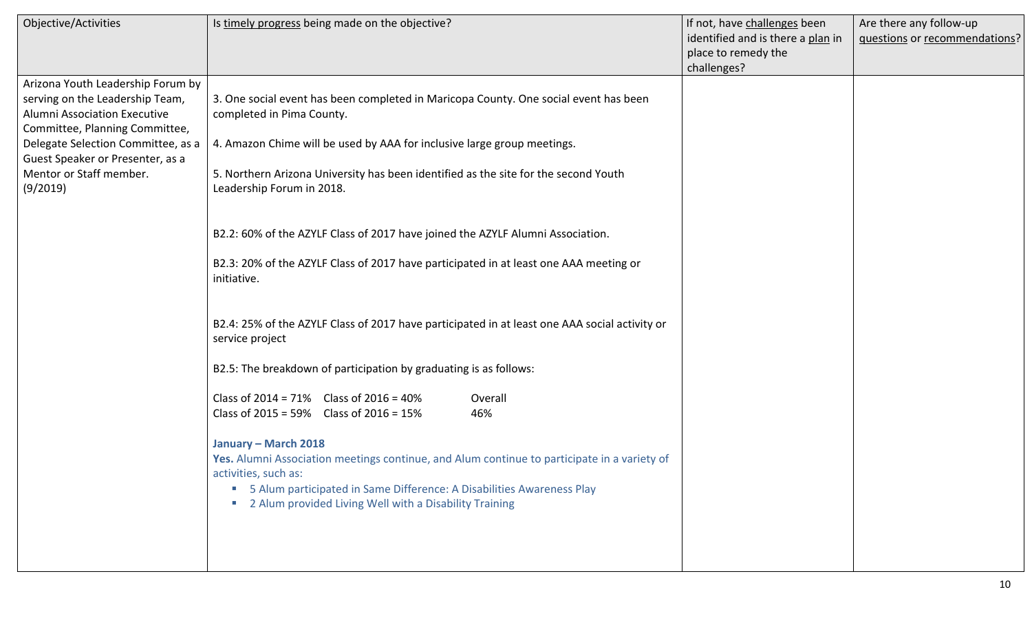| Objective/Activities                                                                                                                                                                                                                                           | Is timely progress being made on the objective?                                                                                                                                                                                                                                                                                                                                                                                                                                                                                                                                                                                                                                                                                                                                                                                                                                                                                                                                                                                                                                                        | If not, have challenges been<br>identified and is there a plan in<br>place to remedy the | Are there any follow-up<br>questions or recommendations? |
|----------------------------------------------------------------------------------------------------------------------------------------------------------------------------------------------------------------------------------------------------------------|--------------------------------------------------------------------------------------------------------------------------------------------------------------------------------------------------------------------------------------------------------------------------------------------------------------------------------------------------------------------------------------------------------------------------------------------------------------------------------------------------------------------------------------------------------------------------------------------------------------------------------------------------------------------------------------------------------------------------------------------------------------------------------------------------------------------------------------------------------------------------------------------------------------------------------------------------------------------------------------------------------------------------------------------------------------------------------------------------------|------------------------------------------------------------------------------------------|----------------------------------------------------------|
| Arizona Youth Leadership Forum by<br>serving on the Leadership Team,<br><b>Alumni Association Executive</b><br>Committee, Planning Committee,<br>Delegate Selection Committee, as a<br>Guest Speaker or Presenter, as a<br>Mentor or Staff member.<br>(9/2019) | 3. One social event has been completed in Maricopa County. One social event has been<br>completed in Pima County.<br>4. Amazon Chime will be used by AAA for inclusive large group meetings.<br>5. Northern Arizona University has been identified as the site for the second Youth<br>Leadership Forum in 2018.<br>B2.2: 60% of the AZYLF Class of 2017 have joined the AZYLF Alumni Association.<br>B2.3: 20% of the AZYLF Class of 2017 have participated in at least one AAA meeting or<br>initiative.<br>B2.4: 25% of the AZYLF Class of 2017 have participated in at least one AAA social activity or<br>service project<br>B2.5: The breakdown of participation by graduating is as follows:<br>Class of $2014 = 71\%$ Class of $2016 = 40\%$<br>Overall<br>Class of 2015 = $59\%$ Class of 2016 = 15%<br>46%<br>January - March 2018<br>Yes. Alumni Association meetings continue, and Alum continue to participate in a variety of<br>activities, such as:<br>5 Alum participated in Same Difference: A Disabilities Awareness Play<br>2 Alum provided Living Well with a Disability Training | challenges?                                                                              |                                                          |
|                                                                                                                                                                                                                                                                |                                                                                                                                                                                                                                                                                                                                                                                                                                                                                                                                                                                                                                                                                                                                                                                                                                                                                                                                                                                                                                                                                                        |                                                                                          |                                                          |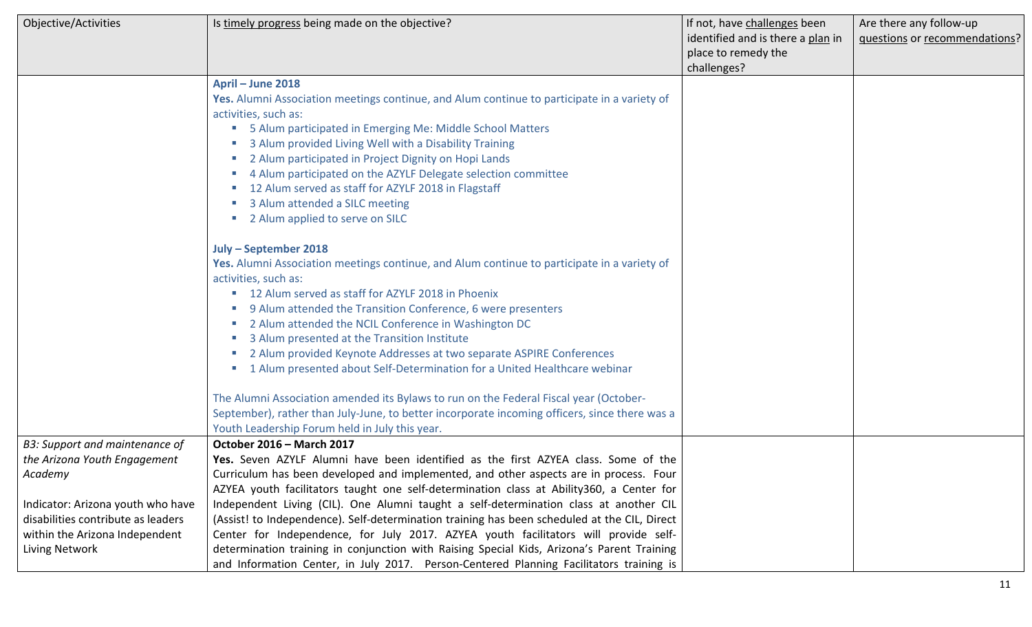| Objective/Activities                                                                                                        | Is timely progress being made on the objective?                                                                                                                                                                                                                                                                                                                                                                                                                                                         | If not, have challenges been<br>identified and is there a plan in<br>place to remedy the<br>challenges? | Are there any follow-up<br>questions or recommendations? |
|-----------------------------------------------------------------------------------------------------------------------------|---------------------------------------------------------------------------------------------------------------------------------------------------------------------------------------------------------------------------------------------------------------------------------------------------------------------------------------------------------------------------------------------------------------------------------------------------------------------------------------------------------|---------------------------------------------------------------------------------------------------------|----------------------------------------------------------|
|                                                                                                                             | April - June 2018<br>Yes. Alumni Association meetings continue, and Alum continue to participate in a variety of<br>activities, such as:<br>5 Alum participated in Emerging Me: Middle School Matters<br>3 Alum provided Living Well with a Disability Training<br>2 Alum participated in Project Dignity on Hopi Lands<br>4 Alum participated on the AZYLF Delegate selection committee<br>12 Alum served as staff for AZYLF 2018 in Flagstaff                                                         |                                                                                                         |                                                          |
|                                                                                                                             | 3 Alum attended a SILC meeting<br>2 Alum applied to serve on SILC<br>July - September 2018                                                                                                                                                                                                                                                                                                                                                                                                              |                                                                                                         |                                                          |
|                                                                                                                             | Yes. Alumni Association meetings continue, and Alum continue to participate in a variety of<br>activities, such as:<br>■ 12 Alum served as staff for AZYLF 2018 in Phoenix<br>9 Alum attended the Transition Conference, 6 were presenters<br>2 Alum attended the NCIL Conference in Washington DC<br>3 Alum presented at the Transition Institute<br>2 Alum provided Keynote Addresses at two separate ASPIRE Conferences<br>1 Alum presented about Self-Determination for a United Healthcare webinar |                                                                                                         |                                                          |
|                                                                                                                             | The Alumni Association amended its Bylaws to run on the Federal Fiscal year (October-<br>September), rather than July-June, to better incorporate incoming officers, since there was a<br>Youth Leadership Forum held in July this year.                                                                                                                                                                                                                                                                |                                                                                                         |                                                          |
| B3: Support and maintenance of<br>the Arizona Youth Engagement<br>Academy                                                   | <b>October 2016 - March 2017</b><br>Yes. Seven AZYLF Alumni have been identified as the first AZYEA class. Some of the<br>Curriculum has been developed and implemented, and other aspects are in process. Four<br>AZYEA youth facilitators taught one self-determination class at Ability360, a Center for                                                                                                                                                                                             |                                                                                                         |                                                          |
| Indicator: Arizona youth who have<br>disabilities contribute as leaders<br>within the Arizona Independent<br>Living Network | Independent Living (CIL). One Alumni taught a self-determination class at another CIL<br>(Assist! to Independence). Self-determination training has been scheduled at the CIL, Direct<br>Center for Independence, for July 2017. AZYEA youth facilitators will provide self-<br>determination training in conjunction with Raising Special Kids, Arizona's Parent Training<br>and Information Center, in July 2017. Person-Centered Planning Facilitators training is                                   |                                                                                                         |                                                          |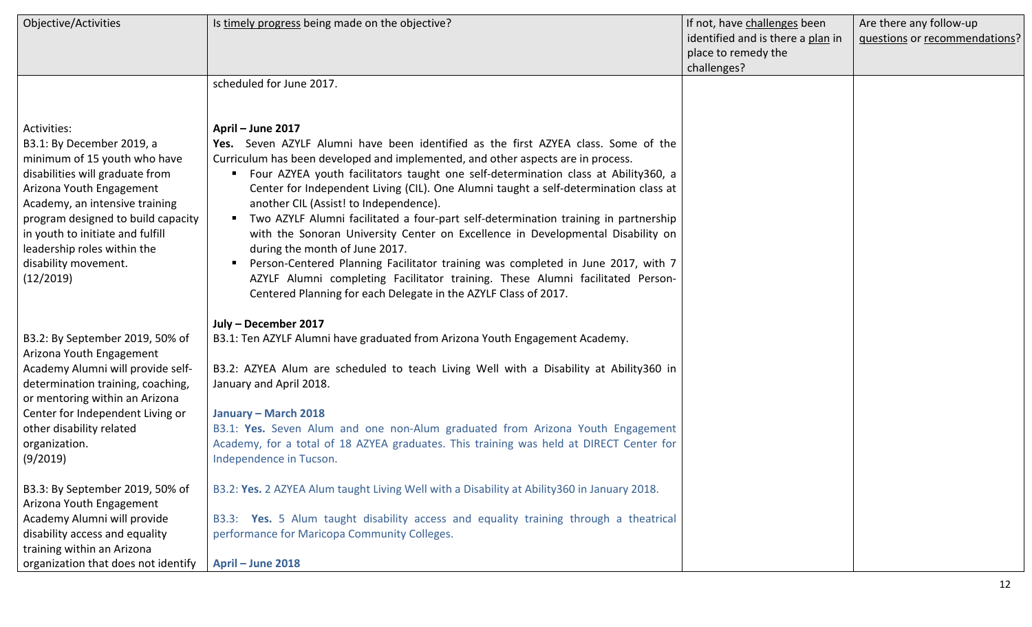| <b>Objective/Activities</b>                                                                                                                                                                                                                                                                                             | Is timely progress being made on the objective?                                                                                                                                                                                                                                                                                                                                                                                                                                                                                                                                                                                                                                                                                                                                                                                                                                  | If not, have challenges been<br>identified and is there a plan in<br>place to remedy the<br>challenges? | Are there any follow-up<br>questions or recommendations? |
|-------------------------------------------------------------------------------------------------------------------------------------------------------------------------------------------------------------------------------------------------------------------------------------------------------------------------|----------------------------------------------------------------------------------------------------------------------------------------------------------------------------------------------------------------------------------------------------------------------------------------------------------------------------------------------------------------------------------------------------------------------------------------------------------------------------------------------------------------------------------------------------------------------------------------------------------------------------------------------------------------------------------------------------------------------------------------------------------------------------------------------------------------------------------------------------------------------------------|---------------------------------------------------------------------------------------------------------|----------------------------------------------------------|
|                                                                                                                                                                                                                                                                                                                         | scheduled for June 2017.                                                                                                                                                                                                                                                                                                                                                                                                                                                                                                                                                                                                                                                                                                                                                                                                                                                         |                                                                                                         |                                                          |
| Activities:<br>B3.1: By December 2019, a<br>minimum of 15 youth who have<br>disabilities will graduate from<br>Arizona Youth Engagement<br>Academy, an intensive training<br>program designed to build capacity<br>in youth to initiate and fulfill<br>leadership roles within the<br>disability movement.<br>(12/2019) | April - June 2017<br>Yes. Seven AZYLF Alumni have been identified as the first AZYEA class. Some of the<br>Curriculum has been developed and implemented, and other aspects are in process.<br>Four AZYEA youth facilitators taught one self-determination class at Ability360, a<br>п.<br>Center for Independent Living (CIL). One Alumni taught a self-determination class at<br>another CIL (Assist! to Independence).<br>" Two AZYLF Alumni facilitated a four-part self-determination training in partnership<br>with the Sonoran University Center on Excellence in Developmental Disability on<br>during the month of June 2017.<br>Person-Centered Planning Facilitator training was completed in June 2017, with 7<br>AZYLF Alumni completing Facilitator training. These Alumni facilitated Person-<br>Centered Planning for each Delegate in the AZYLF Class of 2017. |                                                                                                         |                                                          |
| B3.2: By September 2019, 50% of<br>Arizona Youth Engagement<br>Academy Alumni will provide self-<br>determination training, coaching,<br>or mentoring within an Arizona<br>Center for Independent Living or<br>other disability related<br>organization.<br>(9/2019)                                                    | July - December 2017<br>B3.1: Ten AZYLF Alumni have graduated from Arizona Youth Engagement Academy.<br>B3.2: AZYEA Alum are scheduled to teach Living Well with a Disability at Ability 360 in<br>January and April 2018.<br>January - March 2018<br>B3.1: Yes. Seven Alum and one non-Alum graduated from Arizona Youth Engagement<br>Academy, for a total of 18 AZYEA graduates. This training was held at DIRECT Center for<br>Independence in Tucson.                                                                                                                                                                                                                                                                                                                                                                                                                       |                                                                                                         |                                                          |
| B3.3: By September 2019, 50% of<br>Arizona Youth Engagement<br>Academy Alumni will provide<br>disability access and equality<br>training within an Arizona<br>organization that does not identify                                                                                                                       | B3.2: Yes. 2 AZYEA Alum taught Living Well with a Disability at Ability 360 in January 2018.<br>B3.3: Yes. 5 Alum taught disability access and equality training through a theatrical<br>performance for Maricopa Community Colleges.<br>April - June 2018                                                                                                                                                                                                                                                                                                                                                                                                                                                                                                                                                                                                                       |                                                                                                         |                                                          |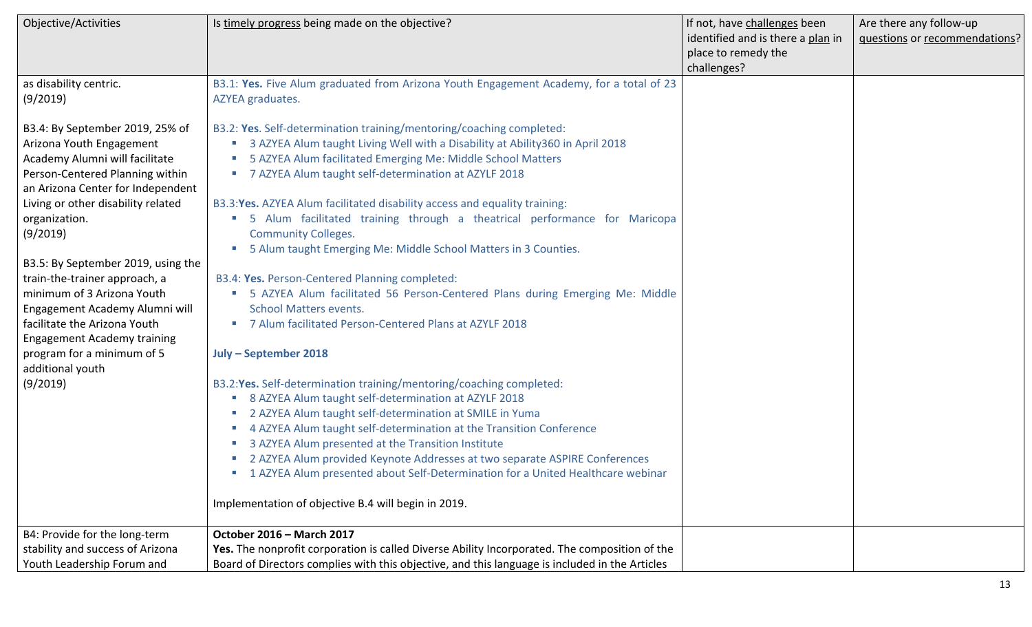| Objective/Activities                                                 | Is timely progress being made on the objective?                                                | If not, have challenges been      | Are there any follow-up       |
|----------------------------------------------------------------------|------------------------------------------------------------------------------------------------|-----------------------------------|-------------------------------|
|                                                                      |                                                                                                | identified and is there a plan in | questions or recommendations? |
|                                                                      |                                                                                                | place to remedy the               |                               |
|                                                                      |                                                                                                | challenges?                       |                               |
| as disability centric.                                               | B3.1: Yes. Five Alum graduated from Arizona Youth Engagement Academy, for a total of 23        |                                   |                               |
| (9/2019)                                                             | AZYEA graduates.                                                                               |                                   |                               |
|                                                                      |                                                                                                |                                   |                               |
| B3.4: By September 2019, 25% of                                      | B3.2: Yes. Self-determination training/mentoring/coaching completed:                           |                                   |                               |
| Arizona Youth Engagement                                             | <b>3 AZYEA Alum taught Living Well with a Disability at Ability 360 in April 2018</b>          |                                   |                               |
| Academy Alumni will facilitate                                       | 5 AZYEA Alum facilitated Emerging Me: Middle School Matters                                    |                                   |                               |
| Person-Centered Planning within<br>an Arizona Center for Independent | ■ 7 AZYEA Alum taught self-determination at AZYLF 2018                                         |                                   |                               |
| Living or other disability related                                   | B3.3: Yes. AZYEA Alum facilitated disability access and equality training:                     |                                   |                               |
| organization.                                                        | " 5 Alum facilitated training through a theatrical performance for Maricopa                    |                                   |                               |
| (9/2019)                                                             | <b>Community Colleges.</b>                                                                     |                                   |                               |
|                                                                      | 5 Alum taught Emerging Me: Middle School Matters in 3 Counties.                                |                                   |                               |
| B3.5: By September 2019, using the                                   |                                                                                                |                                   |                               |
| train-the-trainer approach, a                                        | B3.4: Yes. Person-Centered Planning completed:                                                 |                                   |                               |
| minimum of 3 Arizona Youth                                           | • 5 AZYEA Alum facilitated 56 Person-Centered Plans during Emerging Me: Middle                 |                                   |                               |
| Engagement Academy Alumni will                                       | <b>School Matters events.</b>                                                                  |                                   |                               |
| facilitate the Arizona Youth                                         | 7 Alum facilitated Person-Centered Plans at AZYLF 2018                                         |                                   |                               |
| <b>Engagement Academy training</b>                                   |                                                                                                |                                   |                               |
| program for a minimum of 5                                           | July - September 2018                                                                          |                                   |                               |
| additional youth                                                     |                                                                                                |                                   |                               |
| (9/2019)                                                             | B3.2: Yes. Self-determination training/mentoring/coaching completed:                           |                                   |                               |
|                                                                      | 8 AZYEA Alum taught self-determination at AZYLF 2018                                           |                                   |                               |
|                                                                      | 2 AZYEA Alum taught self-determination at SMILE in Yuma                                        |                                   |                               |
|                                                                      | 4 AZYEA Alum taught self-determination at the Transition Conference                            |                                   |                               |
|                                                                      | 3 AZYEA Alum presented at the Transition Institute                                             |                                   |                               |
|                                                                      | ■ 2 AZYEA Alum provided Keynote Addresses at two separate ASPIRE Conferences                   |                                   |                               |
|                                                                      | ■ 1 AZYEA Alum presented about Self-Determination for a United Healthcare webinar              |                                   |                               |
|                                                                      | Implementation of objective B.4 will begin in 2019.                                            |                                   |                               |
|                                                                      |                                                                                                |                                   |                               |
| B4: Provide for the long-term                                        | October 2016 - March 2017                                                                      |                                   |                               |
| stability and success of Arizona                                     | Yes. The nonprofit corporation is called Diverse Ability Incorporated. The composition of the  |                                   |                               |
| Youth Leadership Forum and                                           | Board of Directors complies with this objective, and this language is included in the Articles |                                   |                               |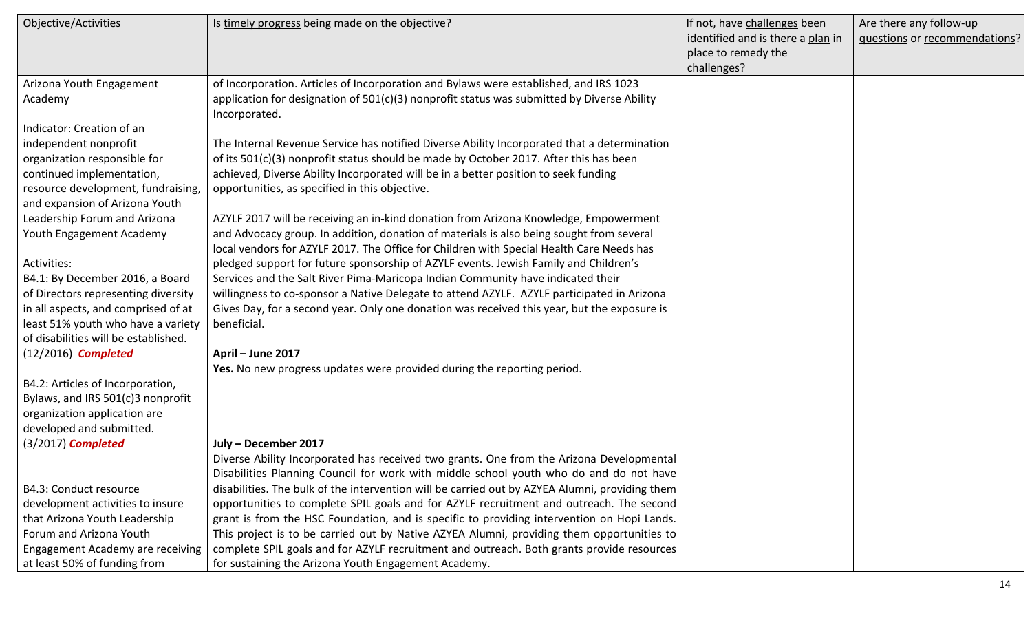| Objective/Activities                    | Is timely progress being made on the objective?                                                                                                                                      | If not, have challenges been<br>identified and is there a plan in<br>place to remedy the | Are there any follow-up<br>questions or recommendations? |
|-----------------------------------------|--------------------------------------------------------------------------------------------------------------------------------------------------------------------------------------|------------------------------------------------------------------------------------------|----------------------------------------------------------|
|                                         |                                                                                                                                                                                      | challenges?                                                                              |                                                          |
| Arizona Youth Engagement                | of Incorporation. Articles of Incorporation and Bylaws were established, and IRS 1023                                                                                                |                                                                                          |                                                          |
| Academy                                 | application for designation of $501(c)(3)$ nonprofit status was submitted by Diverse Ability<br>Incorporated.                                                                        |                                                                                          |                                                          |
| Indicator: Creation of an               |                                                                                                                                                                                      |                                                                                          |                                                          |
| independent nonprofit                   | The Internal Revenue Service has notified Diverse Ability Incorporated that a determination                                                                                          |                                                                                          |                                                          |
| organization responsible for            | of its 501(c)(3) nonprofit status should be made by October 2017. After this has been                                                                                                |                                                                                          |                                                          |
| continued implementation,               | achieved, Diverse Ability Incorporated will be in a better position to seek funding                                                                                                  |                                                                                          |                                                          |
| resource development, fundraising,      | opportunities, as specified in this objective.                                                                                                                                       |                                                                                          |                                                          |
| and expansion of Arizona Youth          |                                                                                                                                                                                      |                                                                                          |                                                          |
| Leadership Forum and Arizona            | AZYLF 2017 will be receiving an in-kind donation from Arizona Knowledge, Empowerment                                                                                                 |                                                                                          |                                                          |
| Youth Engagement Academy                | and Advocacy group. In addition, donation of materials is also being sought from several<br>local vendors for AZYLF 2017. The Office for Children with Special Health Care Needs has |                                                                                          |                                                          |
| Activities:                             | pledged support for future sponsorship of AZYLF events. Jewish Family and Children's                                                                                                 |                                                                                          |                                                          |
| B4.1: By December 2016, a Board         | Services and the Salt River Pima-Maricopa Indian Community have indicated their                                                                                                      |                                                                                          |                                                          |
| of Directors representing diversity     | willingness to co-sponsor a Native Delegate to attend AZYLF. AZYLF participated in Arizona                                                                                           |                                                                                          |                                                          |
| in all aspects, and comprised of at     | Gives Day, for a second year. Only one donation was received this year, but the exposure is                                                                                          |                                                                                          |                                                          |
| least 51% youth who have a variety      | beneficial.                                                                                                                                                                          |                                                                                          |                                                          |
| of disabilities will be established.    |                                                                                                                                                                                      |                                                                                          |                                                          |
| $(12/2016)$ Completed                   | April - June 2017                                                                                                                                                                    |                                                                                          |                                                          |
|                                         | Yes. No new progress updates were provided during the reporting period.                                                                                                              |                                                                                          |                                                          |
| B4.2: Articles of Incorporation,        |                                                                                                                                                                                      |                                                                                          |                                                          |
| Bylaws, and IRS 501(c)3 nonprofit       |                                                                                                                                                                                      |                                                                                          |                                                          |
| organization application are            |                                                                                                                                                                                      |                                                                                          |                                                          |
| developed and submitted.                |                                                                                                                                                                                      |                                                                                          |                                                          |
| (3/2017) Completed                      | July - December 2017                                                                                                                                                                 |                                                                                          |                                                          |
|                                         | Diverse Ability Incorporated has received two grants. One from the Arizona Developmental                                                                                             |                                                                                          |                                                          |
|                                         | Disabilities Planning Council for work with middle school youth who do and do not have                                                                                               |                                                                                          |                                                          |
| B4.3: Conduct resource                  | disabilities. The bulk of the intervention will be carried out by AZYEA Alumni, providing them                                                                                       |                                                                                          |                                                          |
| development activities to insure        | opportunities to complete SPIL goals and for AZYLF recruitment and outreach. The second                                                                                              |                                                                                          |                                                          |
| that Arizona Youth Leadership           | grant is from the HSC Foundation, and is specific to providing intervention on Hopi Lands.                                                                                           |                                                                                          |                                                          |
| Forum and Arizona Youth                 | This project is to be carried out by Native AZYEA Alumni, providing them opportunities to                                                                                            |                                                                                          |                                                          |
| <b>Engagement Academy are receiving</b> | complete SPIL goals and for AZYLF recruitment and outreach. Both grants provide resources                                                                                            |                                                                                          |                                                          |
| at least 50% of funding from            | for sustaining the Arizona Youth Engagement Academy.                                                                                                                                 |                                                                                          |                                                          |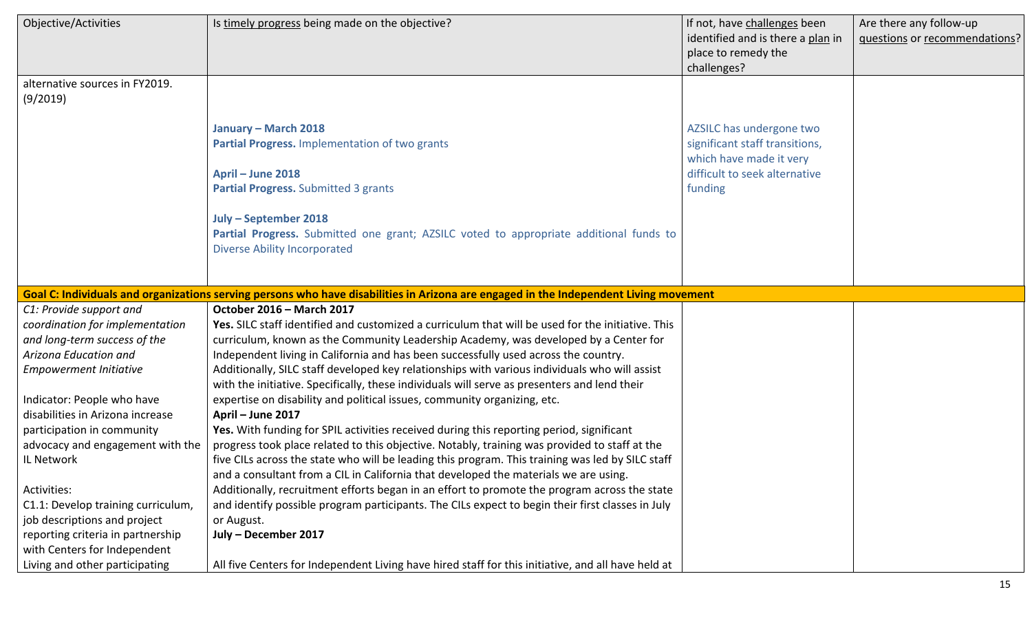| Objective/Activities                       | Is timely progress being made on the objective?                                                                                                                                                                                                                                               | If not, have challenges been<br>identified and is there a plan in<br>place to remedy the<br>challenges?                           | Are there any follow-up<br>questions or recommendations? |
|--------------------------------------------|-----------------------------------------------------------------------------------------------------------------------------------------------------------------------------------------------------------------------------------------------------------------------------------------------|-----------------------------------------------------------------------------------------------------------------------------------|----------------------------------------------------------|
| alternative sources in FY2019.<br>(9/2019) |                                                                                                                                                                                                                                                                                               |                                                                                                                                   |                                                          |
|                                            | January - March 2018<br>Partial Progress. Implementation of two grants<br>April - June 2018<br>Partial Progress. Submitted 3 grants<br>July - September 2018<br>Partial Progress. Submitted one grant; AZSILC voted to appropriate additional funds to<br><b>Diverse Ability Incorporated</b> | AZSILC has undergone two<br>significant staff transitions,<br>which have made it very<br>difficult to seek alternative<br>funding |                                                          |
|                                            | Goal C: Individuals and organizations serving persons who have disabilities in Arizona are engaged in the Independent Living movement                                                                                                                                                         |                                                                                                                                   |                                                          |
| C1: Provide support and                    | October 2016 - March 2017                                                                                                                                                                                                                                                                     |                                                                                                                                   |                                                          |
| coordination for implementation            | Yes. SILC staff identified and customized a curriculum that will be used for the initiative. This                                                                                                                                                                                             |                                                                                                                                   |                                                          |
| and long-term success of the               | curriculum, known as the Community Leadership Academy, was developed by a Center for                                                                                                                                                                                                          |                                                                                                                                   |                                                          |
| Arizona Education and                      | Independent living in California and has been successfully used across the country.                                                                                                                                                                                                           |                                                                                                                                   |                                                          |
| <b>Empowerment Initiative</b>              | Additionally, SILC staff developed key relationships with various individuals who will assist                                                                                                                                                                                                 |                                                                                                                                   |                                                          |
|                                            | with the initiative. Specifically, these individuals will serve as presenters and lend their                                                                                                                                                                                                  |                                                                                                                                   |                                                          |
| Indicator: People who have                 | expertise on disability and political issues, community organizing, etc.                                                                                                                                                                                                                      |                                                                                                                                   |                                                          |
| disabilities in Arizona increase           | April - June 2017                                                                                                                                                                                                                                                                             |                                                                                                                                   |                                                          |
| participation in community                 | Yes. With funding for SPIL activities received during this reporting period, significant                                                                                                                                                                                                      |                                                                                                                                   |                                                          |
| advocacy and engagement with the           | progress took place related to this objective. Notably, training was provided to staff at the                                                                                                                                                                                                 |                                                                                                                                   |                                                          |
| IL Network                                 | five CILs across the state who will be leading this program. This training was led by SILC staff                                                                                                                                                                                              |                                                                                                                                   |                                                          |
|                                            | and a consultant from a CIL in California that developed the materials we are using.                                                                                                                                                                                                          |                                                                                                                                   |                                                          |
| Activities:                                | Additionally, recruitment efforts began in an effort to promote the program across the state                                                                                                                                                                                                  |                                                                                                                                   |                                                          |
| C1.1: Develop training curriculum,         | and identify possible program participants. The CILs expect to begin their first classes in July                                                                                                                                                                                              |                                                                                                                                   |                                                          |
| job descriptions and project               | or August.                                                                                                                                                                                                                                                                                    |                                                                                                                                   |                                                          |
| reporting criteria in partnership          | July - December 2017                                                                                                                                                                                                                                                                          |                                                                                                                                   |                                                          |
| with Centers for Independent               |                                                                                                                                                                                                                                                                                               |                                                                                                                                   |                                                          |
| Living and other participating             | All five Centers for Independent Living have hired staff for this initiative, and all have held at                                                                                                                                                                                            |                                                                                                                                   |                                                          |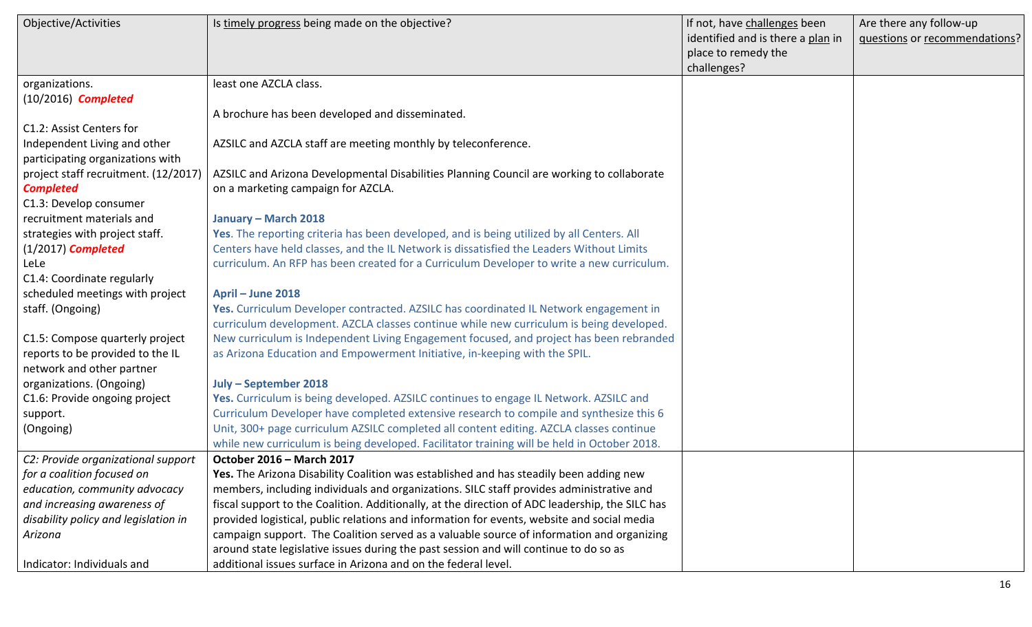| Objective/Activities                 | Is timely progress being made on the objective?                                                 | If not, have challenges been      | Are there any follow-up       |
|--------------------------------------|-------------------------------------------------------------------------------------------------|-----------------------------------|-------------------------------|
|                                      |                                                                                                 | identified and is there a plan in | questions or recommendations? |
|                                      |                                                                                                 | place to remedy the               |                               |
|                                      |                                                                                                 | challenges?                       |                               |
| organizations.                       | least one AZCLA class.                                                                          |                                   |                               |
| $(10/2016)$ Completed                |                                                                                                 |                                   |                               |
|                                      | A brochure has been developed and disseminated.                                                 |                                   |                               |
| C1.2: Assist Centers for             |                                                                                                 |                                   |                               |
| Independent Living and other         | AZSILC and AZCLA staff are meeting monthly by teleconference.                                   |                                   |                               |
| participating organizations with     |                                                                                                 |                                   |                               |
| project staff recruitment. (12/2017) | AZSILC and Arizona Developmental Disabilities Planning Council are working to collaborate       |                                   |                               |
| <b>Completed</b>                     | on a marketing campaign for AZCLA.                                                              |                                   |                               |
| C1.3: Develop consumer               |                                                                                                 |                                   |                               |
| recruitment materials and            | January - March 2018                                                                            |                                   |                               |
| strategies with project staff.       | Yes. The reporting criteria has been developed, and is being utilized by all Centers. All       |                                   |                               |
| $(1/2017)$ Completed                 | Centers have held classes, and the IL Network is dissatisfied the Leaders Without Limits        |                                   |                               |
| LeLe                                 | curriculum. An RFP has been created for a Curriculum Developer to write a new curriculum.       |                                   |                               |
| C1.4: Coordinate regularly           |                                                                                                 |                                   |                               |
| scheduled meetings with project      | April - June 2018                                                                               |                                   |                               |
| staff. (Ongoing)                     | Yes. Curriculum Developer contracted. AZSILC has coordinated IL Network engagement in           |                                   |                               |
|                                      | curriculum development. AZCLA classes continue while new curriculum is being developed.         |                                   |                               |
| C1.5: Compose quarterly project      | New curriculum is Independent Living Engagement focused, and project has been rebranded         |                                   |                               |
| reports to be provided to the IL     | as Arizona Education and Empowerment Initiative, in-keeping with the SPIL.                      |                                   |                               |
| network and other partner            |                                                                                                 |                                   |                               |
| organizations. (Ongoing)             | July - September 2018                                                                           |                                   |                               |
| C1.6: Provide ongoing project        | Yes. Curriculum is being developed. AZSILC continues to engage IL Network. AZSILC and           |                                   |                               |
| support.                             | Curriculum Developer have completed extensive research to compile and synthesize this 6         |                                   |                               |
| (Ongoing)                            | Unit, 300+ page curriculum AZSILC completed all content editing. AZCLA classes continue         |                                   |                               |
|                                      | while new curriculum is being developed. Facilitator training will be held in October 2018.     |                                   |                               |
| C2: Provide organizational support   | October 2016 - March 2017                                                                       |                                   |                               |
| for a coalition focused on           | Yes. The Arizona Disability Coalition was established and has steadily been adding new          |                                   |                               |
| education, community advocacy        | members, including individuals and organizations. SILC staff provides administrative and        |                                   |                               |
| and increasing awareness of          | fiscal support to the Coalition. Additionally, at the direction of ADC leadership, the SILC has |                                   |                               |
| disability policy and legislation in | provided logistical, public relations and information for events, website and social media      |                                   |                               |
| Arizona                              | campaign support. The Coalition served as a valuable source of information and organizing       |                                   |                               |
|                                      | around state legislative issues during the past session and will continue to do so as           |                                   |                               |
| Indicator: Individuals and           | additional issues surface in Arizona and on the federal level.                                  |                                   |                               |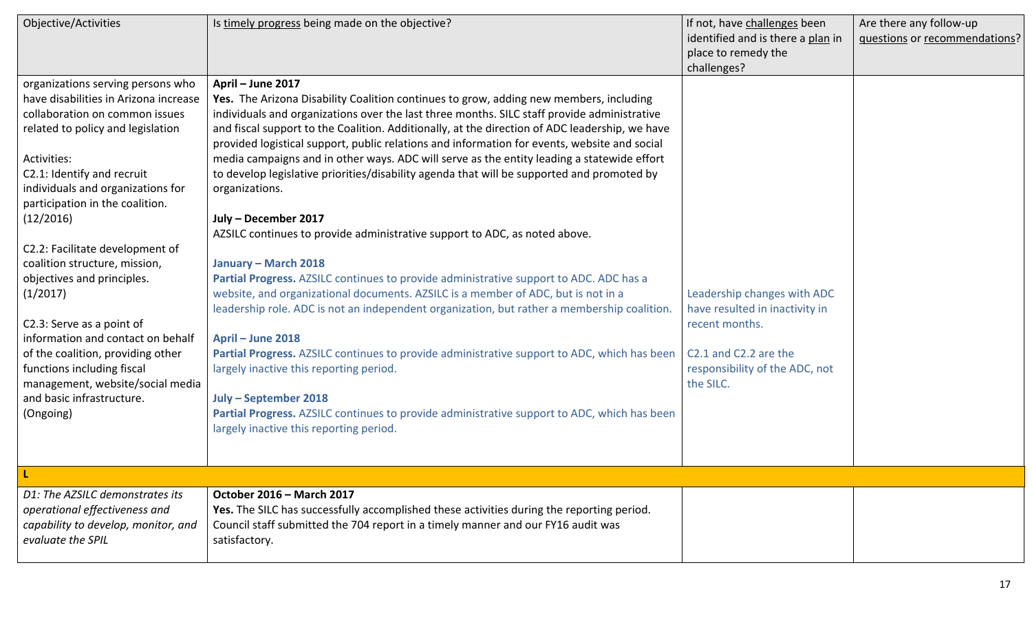| Objective/Activities                                                                                                                                                                                                                                                                                                                                                                                                                                                                                                                                                                                                 | Is timely progress being made on the objective?                                                                                                                                                                                                                                                                                                                                                                                                                                                                                                                                                                                                                                                                                                                                                                                                                                                                                                                                                                                                                                                                                                                                                                                                                                                                                                                          | If not, have challenges been<br>identified and is there a plan in<br>place to remedy the<br>challenges?                                                 | Are there any follow-up<br>questions or recommendations? |
|----------------------------------------------------------------------------------------------------------------------------------------------------------------------------------------------------------------------------------------------------------------------------------------------------------------------------------------------------------------------------------------------------------------------------------------------------------------------------------------------------------------------------------------------------------------------------------------------------------------------|--------------------------------------------------------------------------------------------------------------------------------------------------------------------------------------------------------------------------------------------------------------------------------------------------------------------------------------------------------------------------------------------------------------------------------------------------------------------------------------------------------------------------------------------------------------------------------------------------------------------------------------------------------------------------------------------------------------------------------------------------------------------------------------------------------------------------------------------------------------------------------------------------------------------------------------------------------------------------------------------------------------------------------------------------------------------------------------------------------------------------------------------------------------------------------------------------------------------------------------------------------------------------------------------------------------------------------------------------------------------------|---------------------------------------------------------------------------------------------------------------------------------------------------------|----------------------------------------------------------|
| organizations serving persons who<br>have disabilities in Arizona increase<br>collaboration on common issues<br>related to policy and legislation<br>Activities:<br>C2.1: Identify and recruit<br>individuals and organizations for<br>participation in the coalition.<br>(12/2016)<br>C2.2: Facilitate development of<br>coalition structure, mission,<br>objectives and principles.<br>(1/2017)<br>C2.3: Serve as a point of<br>information and contact on behalf<br>of the coalition, providing other<br>functions including fiscal<br>management, website/social media<br>and basic infrastructure.<br>(Ongoing) | April - June 2017<br>Yes. The Arizona Disability Coalition continues to grow, adding new members, including<br>individuals and organizations over the last three months. SILC staff provide administrative<br>and fiscal support to the Coalition. Additionally, at the direction of ADC leadership, we have<br>provided logistical support, public relations and information for events, website and social<br>media campaigns and in other ways. ADC will serve as the entity leading a statewide effort<br>to develop legislative priorities/disability agenda that will be supported and promoted by<br>organizations.<br>July - December 2017<br>AZSILC continues to provide administrative support to ADC, as noted above.<br>January - March 2018<br>Partial Progress. AZSILC continues to provide administrative support to ADC. ADC has a<br>website, and organizational documents. AZSILC is a member of ADC, but is not in a<br>leadership role. ADC is not an independent organization, but rather a membership coalition.<br>April - June 2018<br>Partial Progress. AZSILC continues to provide administrative support to ADC, which has been<br>largely inactive this reporting period.<br>July - September 2018<br>Partial Progress. AZSILC continues to provide administrative support to ADC, which has been<br>largely inactive this reporting period. | Leadership changes with ADC<br>have resulted in inactivity in<br>recent months.<br>C2.1 and C2.2 are the<br>responsibility of the ADC, not<br>the SILC. |                                                          |
|                                                                                                                                                                                                                                                                                                                                                                                                                                                                                                                                                                                                                      |                                                                                                                                                                                                                                                                                                                                                                                                                                                                                                                                                                                                                                                                                                                                                                                                                                                                                                                                                                                                                                                                                                                                                                                                                                                                                                                                                                          |                                                                                                                                                         |                                                          |
| D1: The AZSILC demonstrates its<br>operational effectiveness and<br>capability to develop, monitor, and<br>evaluate the SPIL                                                                                                                                                                                                                                                                                                                                                                                                                                                                                         | October 2016 - March 2017<br>Yes. The SILC has successfully accomplished these activities during the reporting period.<br>Council staff submitted the 704 report in a timely manner and our FY16 audit was<br>satisfactory.                                                                                                                                                                                                                                                                                                                                                                                                                                                                                                                                                                                                                                                                                                                                                                                                                                                                                                                                                                                                                                                                                                                                              |                                                                                                                                                         |                                                          |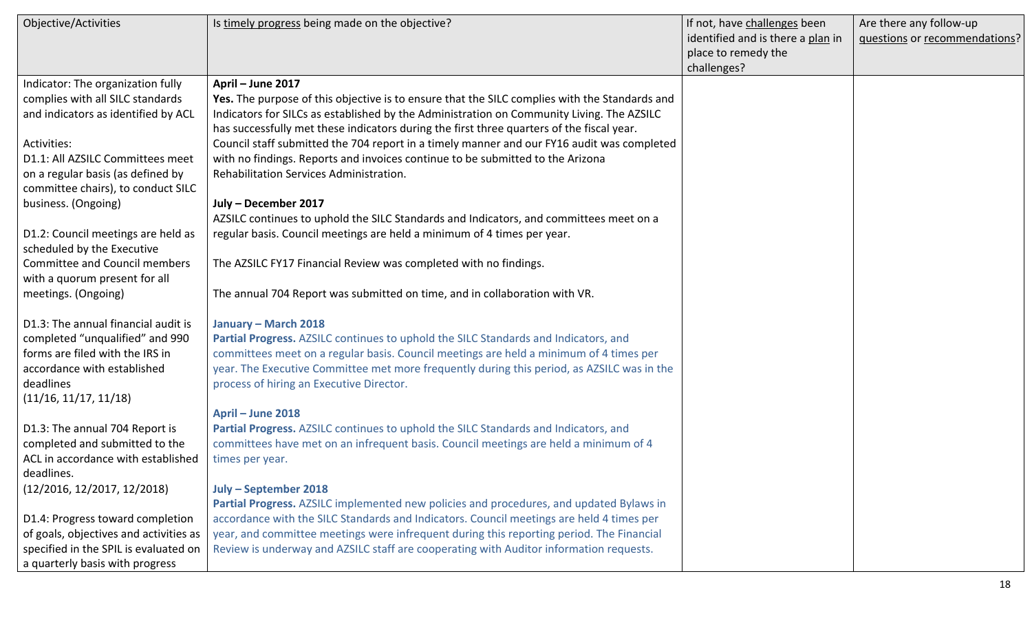| Objective/Activities                   | Is timely progress being made on the objective?                                               | If not, have challenges been      | Are there any follow-up       |
|----------------------------------------|-----------------------------------------------------------------------------------------------|-----------------------------------|-------------------------------|
|                                        |                                                                                               | identified and is there a plan in | questions or recommendations? |
|                                        |                                                                                               | place to remedy the               |                               |
|                                        |                                                                                               | challenges?                       |                               |
| Indicator: The organization fully      | April - June 2017                                                                             |                                   |                               |
| complies with all SILC standards       | Yes. The purpose of this objective is to ensure that the SILC complies with the Standards and |                                   |                               |
| and indicators as identified by ACL    | Indicators for SILCs as established by the Administration on Community Living. The AZSILC     |                                   |                               |
|                                        | has successfully met these indicators during the first three quarters of the fiscal year.     |                                   |                               |
| Activities:                            | Council staff submitted the 704 report in a timely manner and our FY16 audit was completed    |                                   |                               |
| D1.1: All AZSILC Committees meet       | with no findings. Reports and invoices continue to be submitted to the Arizona                |                                   |                               |
| on a regular basis (as defined by      | Rehabilitation Services Administration.                                                       |                                   |                               |
| committee chairs), to conduct SILC     |                                                                                               |                                   |                               |
| business. (Ongoing)                    | July - December 2017                                                                          |                                   |                               |
|                                        | AZSILC continues to uphold the SILC Standards and Indicators, and committees meet on a        |                                   |                               |
| D1.2: Council meetings are held as     | regular basis. Council meetings are held a minimum of 4 times per year.                       |                                   |                               |
| scheduled by the Executive             |                                                                                               |                                   |                               |
| <b>Committee and Council members</b>   | The AZSILC FY17 Financial Review was completed with no findings.                              |                                   |                               |
| with a quorum present for all          |                                                                                               |                                   |                               |
| meetings. (Ongoing)                    | The annual 704 Report was submitted on time, and in collaboration with VR.                    |                                   |                               |
|                                        |                                                                                               |                                   |                               |
| D1.3: The annual financial audit is    | January - March 2018                                                                          |                                   |                               |
| completed "unqualified" and 990        | Partial Progress. AZSILC continues to uphold the SILC Standards and Indicators, and           |                                   |                               |
| forms are filed with the IRS in        | committees meet on a regular basis. Council meetings are held a minimum of 4 times per        |                                   |                               |
| accordance with established            | year. The Executive Committee met more frequently during this period, as AZSILC was in the    |                                   |                               |
| deadlines                              | process of hiring an Executive Director.                                                      |                                   |                               |
| (11/16, 11/17, 11/18)                  |                                                                                               |                                   |                               |
|                                        | April - June 2018                                                                             |                                   |                               |
| D1.3: The annual 704 Report is         | Partial Progress. AZSILC continues to uphold the SILC Standards and Indicators, and           |                                   |                               |
| completed and submitted to the         | committees have met on an infrequent basis. Council meetings are held a minimum of 4          |                                   |                               |
| ACL in accordance with established     | times per year.                                                                               |                                   |                               |
| deadlines.                             |                                                                                               |                                   |                               |
| (12/2016, 12/2017, 12/2018)            | July - September 2018                                                                         |                                   |                               |
|                                        | Partial Progress. AZSILC implemented new policies and procedures, and updated Bylaws in       |                                   |                               |
| D1.4: Progress toward completion       | accordance with the SILC Standards and Indicators. Council meetings are held 4 times per      |                                   |                               |
| of goals, objectives and activities as | year, and committee meetings were infrequent during this reporting period. The Financial      |                                   |                               |
| specified in the SPIL is evaluated on  | Review is underway and AZSILC staff are cooperating with Auditor information requests.        |                                   |                               |
| a quarterly basis with progress        |                                                                                               |                                   |                               |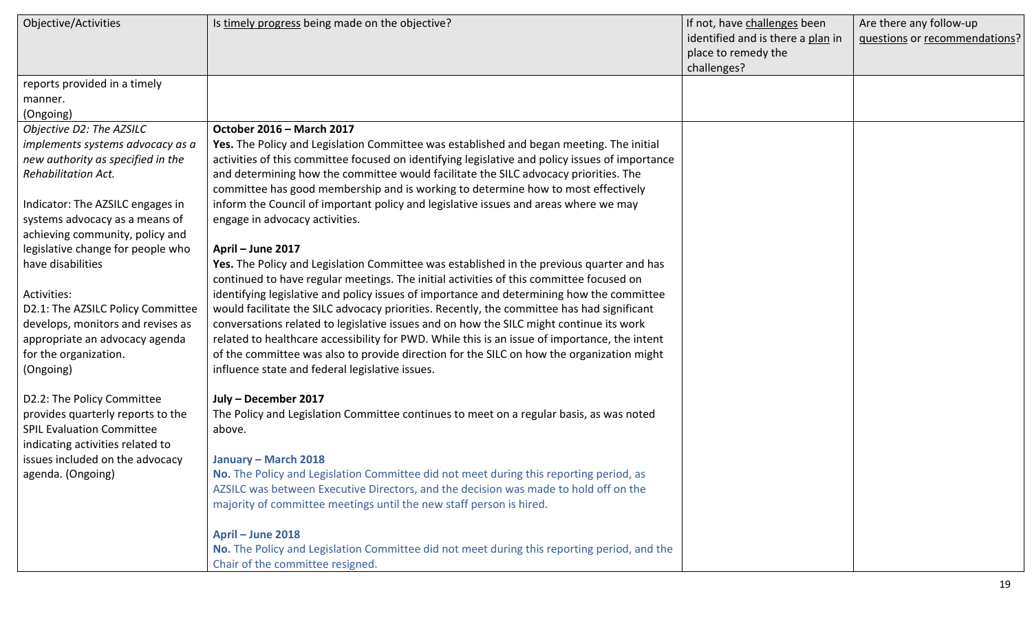| Objective/Activities              | Is timely progress being made on the objective?                                                 | If not, have challenges been      | Are there any follow-up       |
|-----------------------------------|-------------------------------------------------------------------------------------------------|-----------------------------------|-------------------------------|
|                                   |                                                                                                 | identified and is there a plan in | questions or recommendations? |
|                                   |                                                                                                 | place to remedy the               |                               |
|                                   |                                                                                                 | challenges?                       |                               |
| reports provided in a timely      |                                                                                                 |                                   |                               |
| manner.                           |                                                                                                 |                                   |                               |
| (Ongoing)                         |                                                                                                 |                                   |                               |
| Objective D2: The AZSILC          | October 2016 - March 2017                                                                       |                                   |                               |
| implements systems advocacy as a  | Yes. The Policy and Legislation Committee was established and began meeting. The initial        |                                   |                               |
| new authority as specified in the | activities of this committee focused on identifying legislative and policy issues of importance |                                   |                               |
| <b>Rehabilitation Act.</b>        | and determining how the committee would facilitate the SILC advocacy priorities. The            |                                   |                               |
|                                   | committee has good membership and is working to determine how to most effectively               |                                   |                               |
| Indicator: The AZSILC engages in  | inform the Council of important policy and legislative issues and areas where we may            |                                   |                               |
| systems advocacy as a means of    | engage in advocacy activities.                                                                  |                                   |                               |
| achieving community, policy and   |                                                                                                 |                                   |                               |
| legislative change for people who | April - June 2017                                                                               |                                   |                               |
| have disabilities                 | Yes. The Policy and Legislation Committee was established in the previous quarter and has       |                                   |                               |
|                                   | continued to have regular meetings. The initial activities of this committee focused on         |                                   |                               |
| Activities:                       | identifying legislative and policy issues of importance and determining how the committee       |                                   |                               |
| D2.1: The AZSILC Policy Committee | would facilitate the SILC advocacy priorities. Recently, the committee has had significant      |                                   |                               |
| develops, monitors and revises as | conversations related to legislative issues and on how the SILC might continue its work         |                                   |                               |
| appropriate an advocacy agenda    | related to healthcare accessibility for PWD. While this is an issue of importance, the intent   |                                   |                               |
| for the organization.             | of the committee was also to provide direction for the SILC on how the organization might       |                                   |                               |
| (Ongoing)                         | influence state and federal legislative issues.                                                 |                                   |                               |
| D2.2: The Policy Committee        | July - December 2017                                                                            |                                   |                               |
| provides quarterly reports to the | The Policy and Legislation Committee continues to meet on a regular basis, as was noted         |                                   |                               |
| <b>SPIL Evaluation Committee</b>  | above.                                                                                          |                                   |                               |
| indicating activities related to  |                                                                                                 |                                   |                               |
| issues included on the advocacy   | January – March 2018                                                                            |                                   |                               |
| agenda. (Ongoing)                 | No. The Policy and Legislation Committee did not meet during this reporting period, as          |                                   |                               |
|                                   | AZSILC was between Executive Directors, and the decision was made to hold off on the            |                                   |                               |
|                                   | majority of committee meetings until the new staff person is hired.                             |                                   |                               |
|                                   |                                                                                                 |                                   |                               |
|                                   | April - June 2018                                                                               |                                   |                               |
|                                   | No. The Policy and Legislation Committee did not meet during this reporting period, and the     |                                   |                               |
|                                   | Chair of the committee resigned.                                                                |                                   |                               |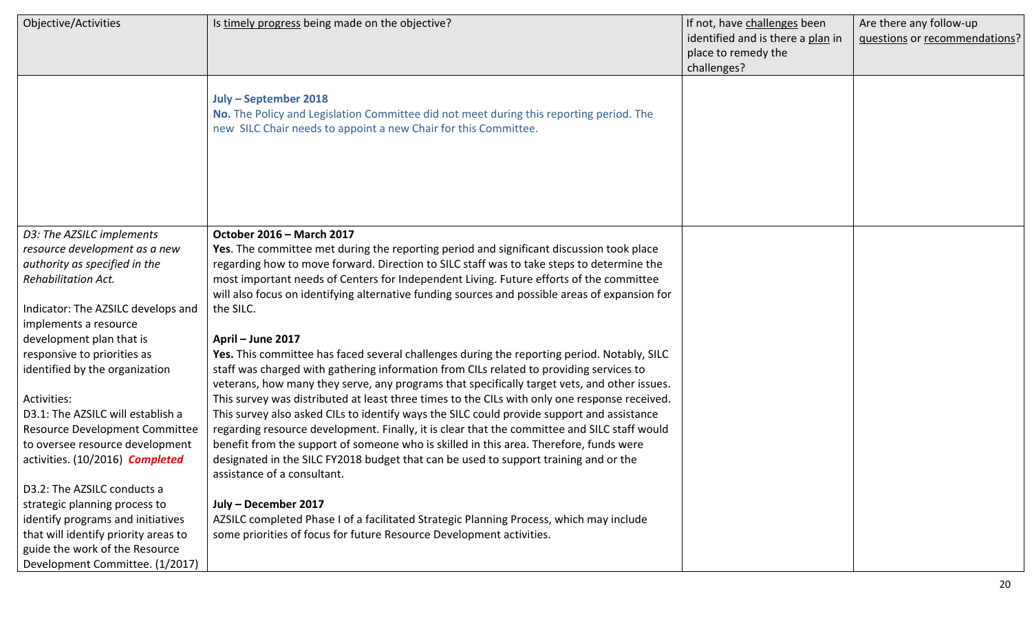| Objective/Activities                                              | Is timely progress being made on the objective?<br>July - September 2018<br>No. The Policy and Legislation Committee did not meet during this reporting period. The<br>new SILC Chair needs to appoint a new Chair for this Committee. | If not, have challenges been<br>identified and is there a plan in<br>place to remedy the<br>challenges? | Are there any follow-up<br>questions or recommendations? |
|-------------------------------------------------------------------|----------------------------------------------------------------------------------------------------------------------------------------------------------------------------------------------------------------------------------------|---------------------------------------------------------------------------------------------------------|----------------------------------------------------------|
|                                                                   |                                                                                                                                                                                                                                        |                                                                                                         |                                                          |
| D3: The AZSILC implements                                         | October 2016 - March 2017                                                                                                                                                                                                              |                                                                                                         |                                                          |
| resource development as a new                                     | Yes. The committee met during the reporting period and significant discussion took place                                                                                                                                               |                                                                                                         |                                                          |
| authority as specified in the<br><b>Rehabilitation Act.</b>       | regarding how to move forward. Direction to SILC staff was to take steps to determine the<br>most important needs of Centers for Independent Living. Future efforts of the committee                                                   |                                                                                                         |                                                          |
|                                                                   | will also focus on identifying alternative funding sources and possible areas of expansion for                                                                                                                                         |                                                                                                         |                                                          |
| Indicator: The AZSILC develops and                                | the SILC.                                                                                                                                                                                                                              |                                                                                                         |                                                          |
| implements a resource                                             |                                                                                                                                                                                                                                        |                                                                                                         |                                                          |
| development plan that is                                          | April - June 2017                                                                                                                                                                                                                      |                                                                                                         |                                                          |
| responsive to priorities as                                       | Yes. This committee has faced several challenges during the reporting period. Notably, SILC                                                                                                                                            |                                                                                                         |                                                          |
| identified by the organization                                    | staff was charged with gathering information from CILs related to providing services to                                                                                                                                                |                                                                                                         |                                                          |
|                                                                   | veterans, how many they serve, any programs that specifically target vets, and other issues.                                                                                                                                           |                                                                                                         |                                                          |
| Activities:                                                       | This survey was distributed at least three times to the CILs with only one response received.                                                                                                                                          |                                                                                                         |                                                          |
| D3.1: The AZSILC will establish a                                 | This survey also asked CILs to identify ways the SILC could provide support and assistance                                                                                                                                             |                                                                                                         |                                                          |
| Resource Development Committee<br>to oversee resource development | regarding resource development. Finally, it is clear that the committee and SILC staff would<br>benefit from the support of someone who is skilled in this area. Therefore, funds were                                                 |                                                                                                         |                                                          |
| activities. (10/2016) <b>Completed</b>                            | designated in the SILC FY2018 budget that can be used to support training and or the                                                                                                                                                   |                                                                                                         |                                                          |
|                                                                   | assistance of a consultant.                                                                                                                                                                                                            |                                                                                                         |                                                          |
| D3.2: The AZSILC conducts a                                       |                                                                                                                                                                                                                                        |                                                                                                         |                                                          |
| strategic planning process to                                     | July - December 2017                                                                                                                                                                                                                   |                                                                                                         |                                                          |
| identify programs and initiatives                                 | AZSILC completed Phase I of a facilitated Strategic Planning Process, which may include                                                                                                                                                |                                                                                                         |                                                          |
| that will identify priority areas to                              | some priorities of focus for future Resource Development activities.                                                                                                                                                                   |                                                                                                         |                                                          |
| guide the work of the Resource                                    |                                                                                                                                                                                                                                        |                                                                                                         |                                                          |
| Development Committee. (1/2017)                                   |                                                                                                                                                                                                                                        |                                                                                                         |                                                          |